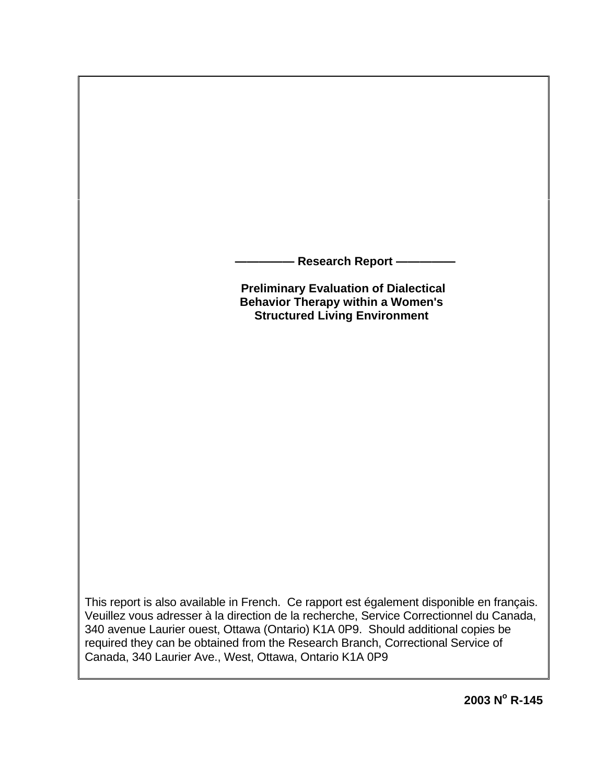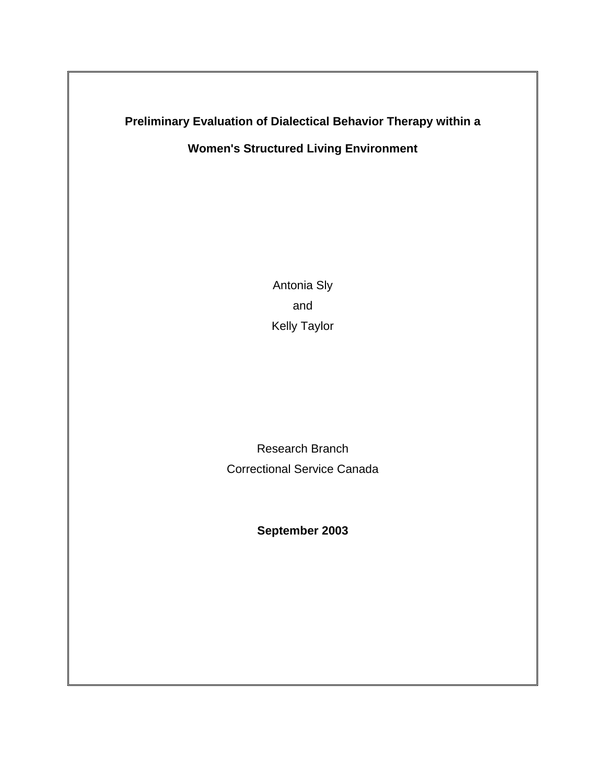# **Preliminary Evaluation of Dialectical Behavior Therapy within a**

**Women's Structured Living Environment**

Antonia Sly and Kelly Taylor

Research Branch Correctional Service Canada

**September 2003**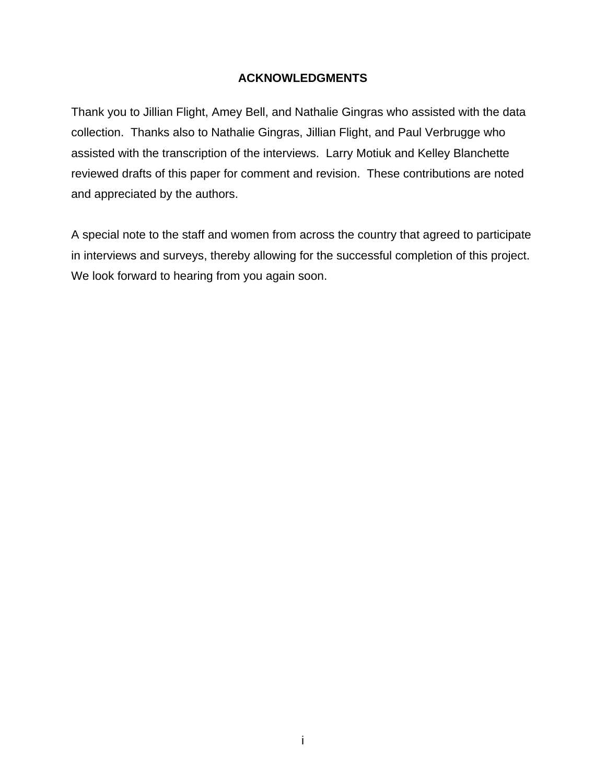## **ACKNOWLEDGMENTS**

<span id="page-2-0"></span>Thank you to Jillian Flight, Amey Bell, and Nathalie Gingras who assisted with the data collection. Thanks also to Nathalie Gingras, Jillian Flight, and Paul Verbrugge who assisted with the transcription of the interviews. Larry Motiuk and Kelley Blanchette reviewed drafts of this paper for comment and revision. These contributions are noted and appreciated by the authors.

A special note to the staff and women from across the country that agreed to participate in interviews and surveys, thereby allowing for the successful completion of this project. We look forward to hearing from you again soon.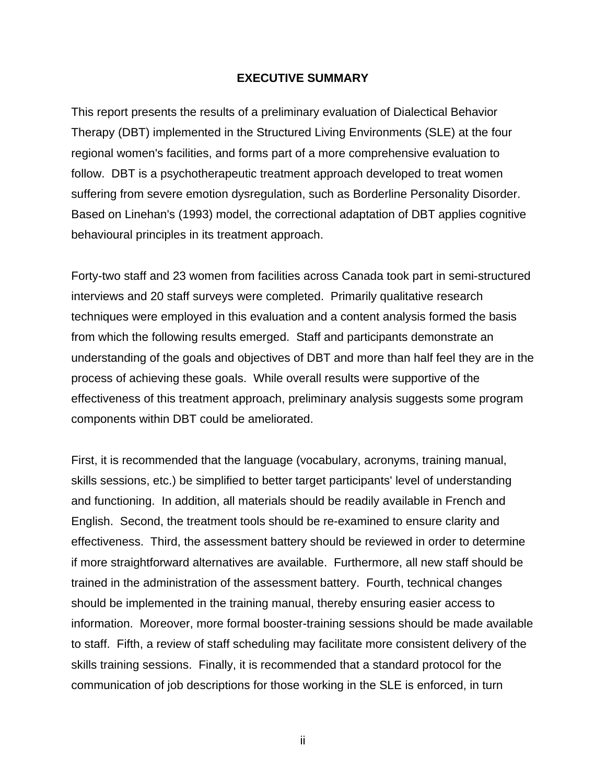### **EXECUTIVE SUMMARY**

<span id="page-3-0"></span>This report presents the results of a preliminary evaluation of Dialectical Behavior Therapy (DBT) implemented in the Structured Living Environments (SLE) at the four regional women's facilities, and forms part of a more comprehensive evaluation to follow. DBT is a psychotherapeutic treatment approach developed to treat women suffering from severe emotion dysregulation, such as Borderline Personality Disorder. Based on Linehan's (1993) model, the correctional adaptation of DBT applies cognitive behavioural principles in its treatment approach.

Forty-two staff and 23 women from facilities across Canada took part in semi-structured interviews and 20 staff surveys were completed. Primarily qualitative research techniques were employed in this evaluation and a content analysis formed the basis from which the following results emerged. Staff and participants demonstrate an understanding of the goals and objectives of DBT and more than half feel they are in the process of achieving these goals. While overall results were supportive of the effectiveness of this treatment approach, preliminary analysis suggests some program components within DBT could be ameliorated.

First, it is recommended that the language (vocabulary, acronyms, training manual, skills sessions, etc.) be simplified to better target participants' level of understanding and functioning. In addition, all materials should be readily available in French and English. Second, the treatment tools should be re-examined to ensure clarity and effectiveness. Third, the assessment battery should be reviewed in order to determine if more straightforward alternatives are available. Furthermore, all new staff should be trained in the administration of the assessment battery. Fourth, technical changes should be implemented in the training manual, thereby ensuring easier access to information. Moreover, more formal booster-training sessions should be made available to staff. Fifth, a review of staff scheduling may facilitate more consistent delivery of the skills training sessions. Finally, it is recommended that a standard protocol for the communication of job descriptions for those working in the SLE is enforced, in turn

ii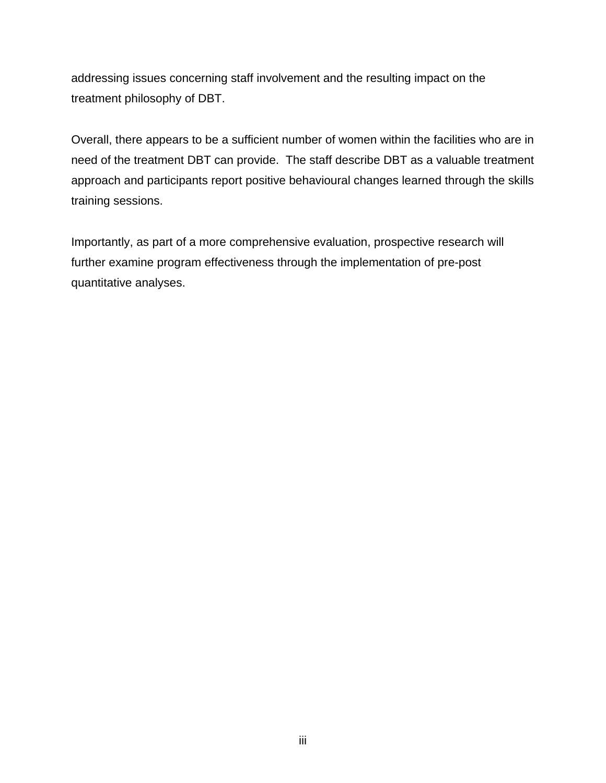addressing issues concerning staff involvement and the resulting impact on the treatment philosophy of DBT.

Overall, there appears to be a sufficient number of women within the facilities who are in need of the treatment DBT can provide. The staff describe DBT as a valuable treatment approach and participants report positive behavioural changes learned through the skills training sessions.

Importantly, as part of a more comprehensive evaluation, prospective research will further examine program effectiveness through the implementation of pre-post quantitative analyses.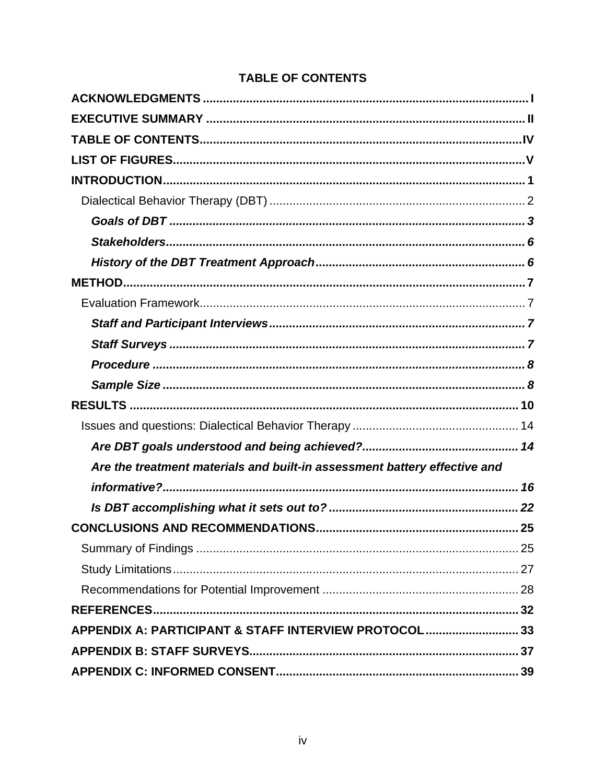|  | <b>TABLE OF CONTENTS</b> |  |
|--|--------------------------|--|
|  |                          |  |

<span id="page-5-0"></span>

| Are the treatment materials and built-in assessment battery effective and |
|---------------------------------------------------------------------------|
|                                                                           |
|                                                                           |
|                                                                           |
|                                                                           |
|                                                                           |
|                                                                           |
|                                                                           |
| APPENDIX A: PARTICIPANT & STAFF INTERVIEW PROTOCOL 33                     |
|                                                                           |
|                                                                           |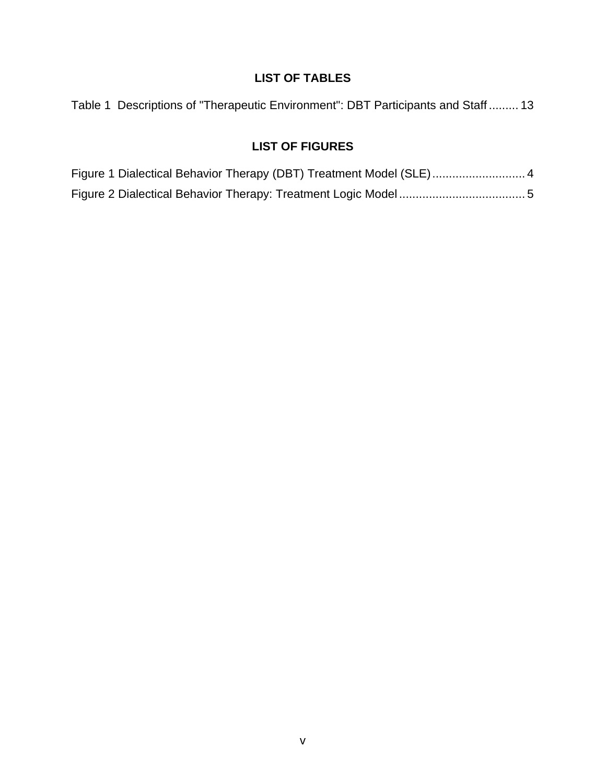# **LIST OF TABLES**

<span id="page-6-0"></span>

|  |  |  | Table 1 Descriptions of "Therapeutic Environment": DBT Participants and Staff 13 |  |
|--|--|--|----------------------------------------------------------------------------------|--|
|--|--|--|----------------------------------------------------------------------------------|--|

# **LIST OF FIGURES**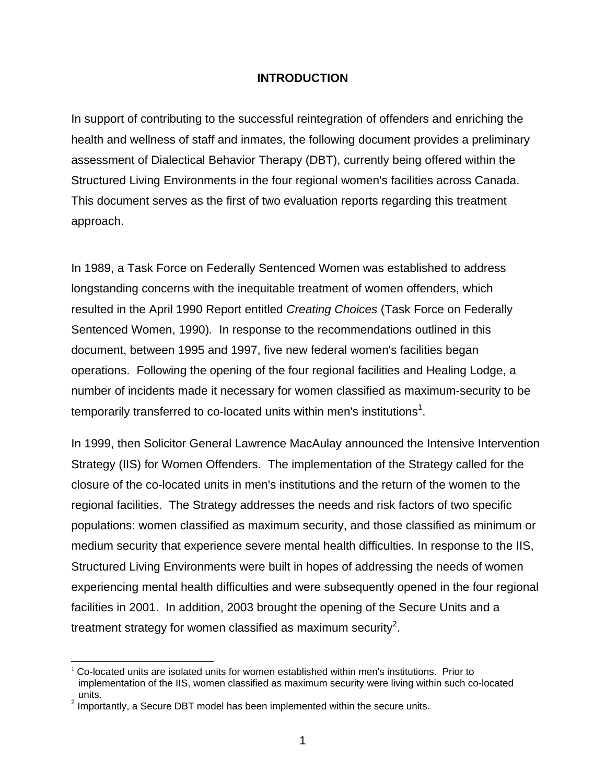### **INTRODUCTION**

<span id="page-7-0"></span>In support of contributing to the successful reintegration of offenders and enriching the health and wellness of staff and inmates, the following document provides a preliminary assessment of Dialectical Behavior Therapy (DBT), currently being offered within the Structured Living Environments in the four regional women's facilities across Canada. This document serves as the first of two evaluation reports regarding this treatment approach.

In 1989, a Task Force on Federally Sentenced Women was established to address longstanding concerns with the inequitable treatment of women offenders, which resulted in the April 1990 Report entitled *Creating Choices* (Task Force on Federally Sentenced Women, 1990)*.* In response to the recommendations outlined in this document, between 1995 and 1997, five new federal women's facilities began operations. Following the opening of the four regional facilities and Healing Lodge, a number of incidents made it necessary for women classified as maximum-security to be temporarily transferred to co-located units within men's institutions<sup>[1](#page-7-1)</sup>.

In 1999, then Solicitor General Lawrence MacAulay announced the Intensive Intervention Strategy (IIS) for Women Offenders. The implementation of the Strategy called for the closure of the co-located units in men's institutions and the return of the women to the regional facilities. The Strategy addresses the needs and risk factors of two specific populations: women classified as maximum security, and those classified as minimum or medium security that experience severe mental health difficulties. In response to the IIS, Structured Living Environments were built in hopes of addressing the needs of women experiencing mental health difficulties and were subsequently opened in the four regional facilities in 2001. In addition, 2003 brought the opening of the Secure Units and a treatment strategy for women classified as maximum security<sup>[2](#page-7-2)</sup>.

<span id="page-7-1"></span> $1$  Co-located units are isolated units for women established within men's institutions. Prior to implementation of the IIS, women classified as maximum security were living within such co-located units.<br><sup>2</sup> Importantly, a Secure DBT model has been implemented within the secure units.

<span id="page-7-2"></span>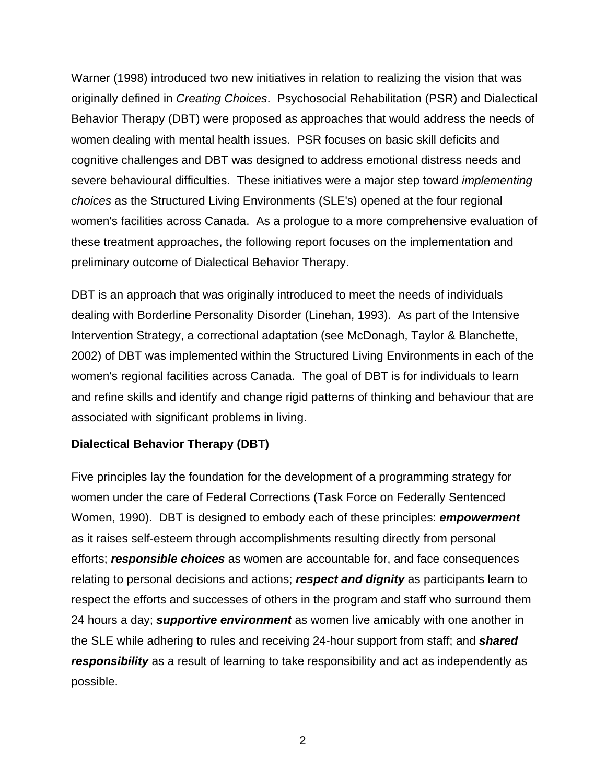<span id="page-8-0"></span>Warner (1998) introduced two new initiatives in relation to realizing the vision that was originally defined in *Creating Choices*. Psychosocial Rehabilitation (PSR) and Dialectical Behavior Therapy (DBT) were proposed as approaches that would address the needs of women dealing with mental health issues. PSR focuses on basic skill deficits and cognitive challenges and DBT was designed to address emotional distress needs and severe behavioural difficulties. These initiatives were a major step toward *implementing choices* as the Structured Living Environments (SLE's) opened at the four regional women's facilities across Canada. As a prologue to a more comprehensive evaluation of these treatment approaches, the following report focuses on the implementation and preliminary outcome of Dialectical Behavior Therapy.

DBT is an approach that was originally introduced to meet the needs of individuals dealing with Borderline Personality Disorder (Linehan, 1993). As part of the Intensive Intervention Strategy, a correctional adaptation (see McDonagh, Taylor & Blanchette, 2002) of DBT was implemented within the Structured Living Environments in each of the women's regional facilities across Canada. The goal of DBT is for individuals to learn and refine skills and identify and change rigid patterns of thinking and behaviour that are associated with significant problems in living.

## **Dialectical Behavior Therapy (DBT)**

Five principles lay the foundation for the development of a programming strategy for women under the care of Federal Corrections (Task Force on Federally Sentenced Women, 1990). DBT is designed to embody each of these principles: *empowerment* as it raises self-esteem through accomplishments resulting directly from personal efforts; *responsible choices* as women are accountable for, and face consequences relating to personal decisions and actions; *respect and dignity* as participants learn to respect the efforts and successes of others in the program and staff who surround them 24 hours a day; *supportive environment* as women live amicably with one another in the SLE while adhering to rules and receiving 24-hour support from staff; and *shared responsibility* as a result of learning to take responsibility and act as independently as possible.

2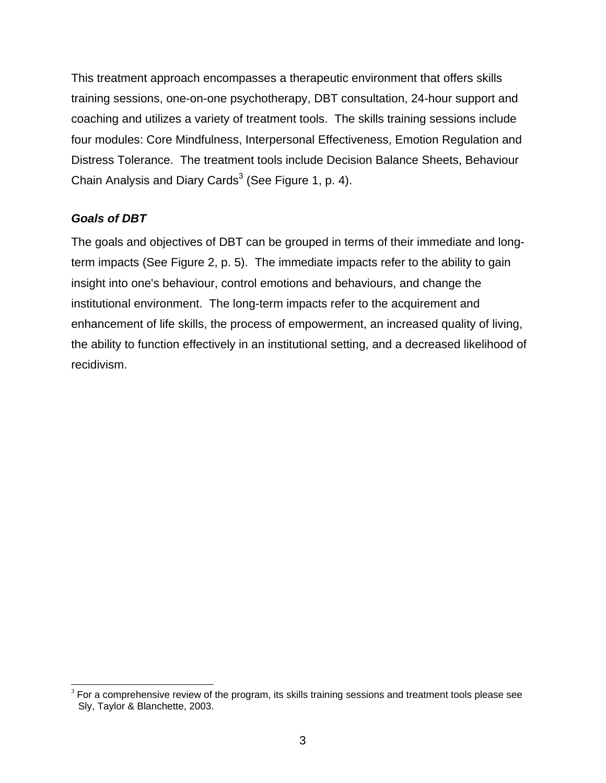<span id="page-9-0"></span>This treatment approach encompasses a therapeutic environment that offers skills training sessions, one-on-one psychotherapy, DBT consultation, 24-hour support and coaching and utilizes a variety of treatment tools. The skills training sessions include four modules: Core Mindfulness, Interpersonal Effectiveness, Emotion Regulation and Distress Tolerance. The treatment tools include Decision Balance Sheets, Behaviour Chain Analysis and Diary Cards $3$  (See Figure 1, p. 4).

## *Goals of DBT*

The goals and objectives of DBT can be grouped in terms of their immediate and longterm impacts (See Figure 2, p. 5). The immediate impacts refer to the ability to gain insight into one's behaviour, control emotions and behaviours, and change the institutional environment. The long-term impacts refer to the acquirement and enhancement of life skills, the process of empowerment, an increased quality of living, the ability to function effectively in an institutional setting, and a decreased likelihood of recidivism.

<span id="page-9-1"></span> $3$  For a comprehensive review of the program, its skills training sessions and treatment tools please see Sly, Taylor & Blanchette, 2003.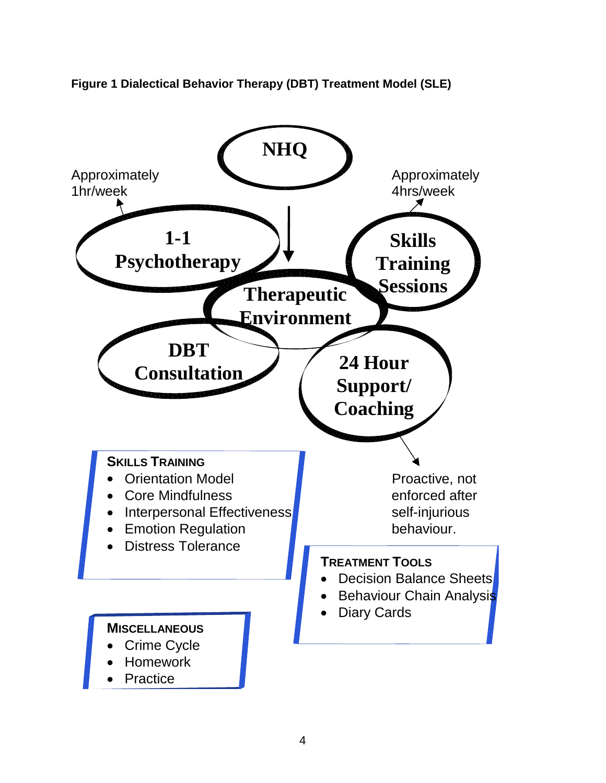Approximately **Approximately** 1hr/week 4hrs/week 44 and 4 and 4 and 4 and 4 and 4 and 4 and 4 and 4 and 4 and 4 and 4 and 4 and 4 and 4 and 4 and 4 and 4 and 4 and 4 and 4 and 4 and 4 and 4 and 4 and 4 and 4 and 4 and 4 and 4 and 4 and 4 and 4 and 4 an **SKILLS TRAINING** • Orientation Model **Proactive**, not • Core Mindfulness enforced after • Interpersonal Effectiveness self-injurious • Emotion Regulation **behaviour.** • Distress Tolerance **TREATMENT TOOLS** • Decision Balance Sheets **Behaviour Chain Analysis Diary Cards MISCELLANEOUS** Crime Cycle • Homework **Practice 24 Hour Support/ Coaching DBT Consultation 1-1 Psychotherapy Skills Training Sessions Therapeutic Environment NHQ**

<span id="page-10-0"></span>**Figure 1 Dialectical Behavior Therapy (DBT) Treatment Model (SLE)**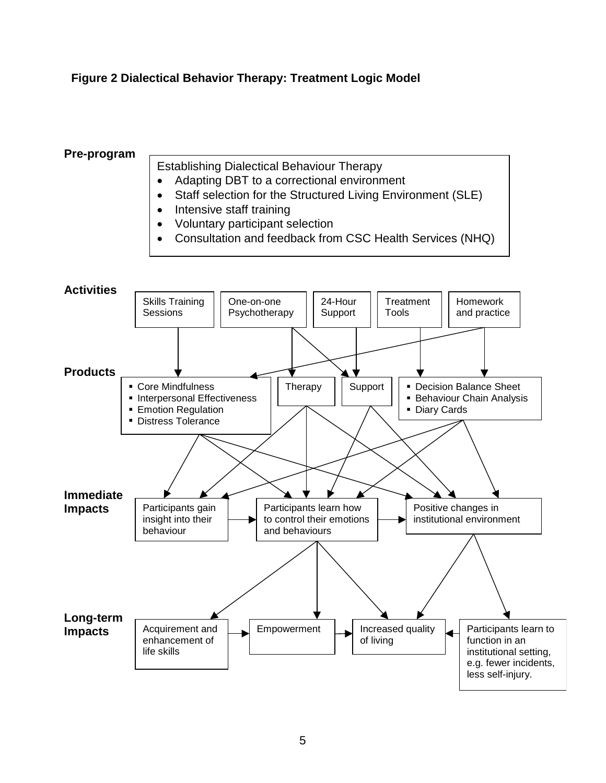## <span id="page-11-0"></span>**Figure 2 Dialectical Behavior Therapy: Treatment Logic Model**

### **Pre-program**

Establishing Dialectical Behaviour Therapy

- Adapting DBT to a correctional environment
- Staff selection for the Structured Living Environment (SLE)
- Intensive staff training
- Voluntary participant selection
- Consultation and feedback from CSC Health Services (NHQ)

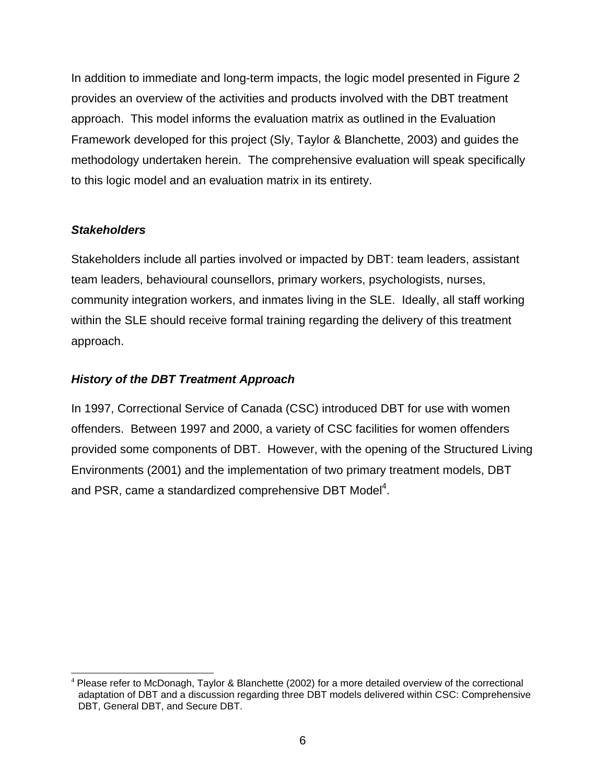<span id="page-12-0"></span>In addition to immediate and long-term impacts, the logic model presented in Figure 2 provides an overview of the activities and products involved with the DBT treatment approach. This model informs the evaluation matrix as outlined in the Evaluation Framework developed for this project (Sly, Taylor & Blanchette, 2003) and guides the methodology undertaken herein. The comprehensive evaluation will speak specifically to this logic model and an evaluation matrix in its entirety.

## *Stakeholders*

Stakeholders include all parties involved or impacted by DBT: team leaders, assistant team leaders, behavioural counsellors, primary workers, psychologists, nurses, community integration workers, and inmates living in the SLE. Ideally, all staff working within the SLE should receive formal training regarding the delivery of this treatment approach.

## *History of the DBT Treatment Approach*

In 1997, Correctional Service of Canada (CSC) introduced DBT for use with women offenders. Between 1997 and 2000, a variety of CSC facilities for women offenders provided some components of DBT. However, with the opening of the Structured Living Environments (2001) and the implementation of two primary treatment models, DBT and PSR, came a standardized comprehensive DBT Model<sup>[4](#page-12-1)</sup>.

<span id="page-12-1"></span> $4$  Please refer to McDonagh, Taylor & Blanchette (2002) for a more detailed overview of the correctional adaptation of DBT and a discussion regarding three DBT models delivered within CSC: Comprehensive DBT, General DBT, and Secure DBT.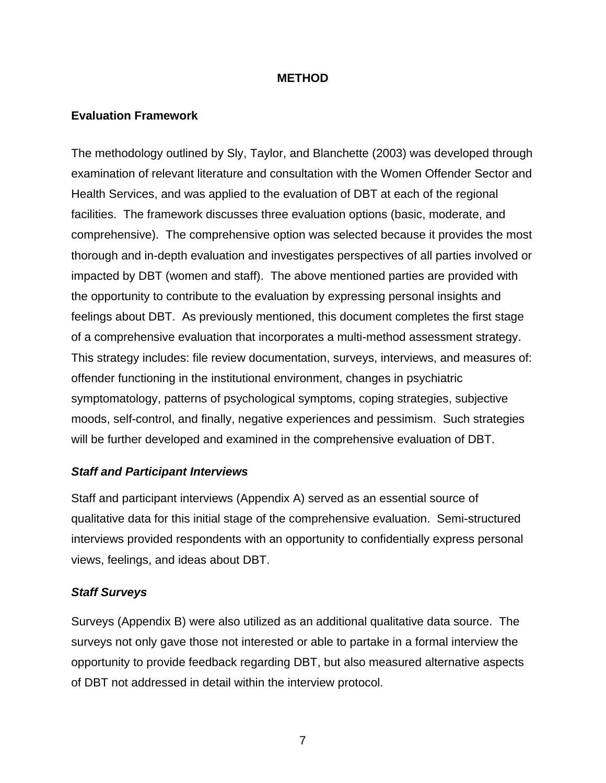### **METHOD**

### <span id="page-13-0"></span>**Evaluation Framework**

The methodology outlined by Sly, Taylor, and Blanchette (2003) was developed through examination of relevant literature and consultation with the Women Offender Sector and Health Services, and was applied to the evaluation of DBT at each of the regional facilities. The framework discusses three evaluation options (basic, moderate, and comprehensive). The comprehensive option was selected because it provides the most thorough and in-depth evaluation and investigates perspectives of all parties involved or impacted by DBT (women and staff). The above mentioned parties are provided with the opportunity to contribute to the evaluation by expressing personal insights and feelings about DBT. As previously mentioned, this document completes the first stage of a comprehensive evaluation that incorporates a multi-method assessment strategy. This strategy includes: file review documentation, surveys, interviews, and measures of: offender functioning in the institutional environment, changes in psychiatric symptomatology, patterns of psychological symptoms, coping strategies, subjective moods, self-control, and finally, negative experiences and pessimism. Such strategies will be further developed and examined in the comprehensive evaluation of DBT.

### *Staff and Participant Interviews*

Staff and participant interviews (Appendix A) served as an essential source of qualitative data for this initial stage of the comprehensive evaluation. Semi-structured interviews provided respondents with an opportunity to confidentially express personal views, feelings, and ideas about DBT.

### *Staff Surveys*

Surveys (Appendix B) were also utilized as an additional qualitative data source. The surveys not only gave those not interested or able to partake in a formal interview the opportunity to provide feedback regarding DBT, but also measured alternative aspects of DBT not addressed in detail within the interview protocol.

7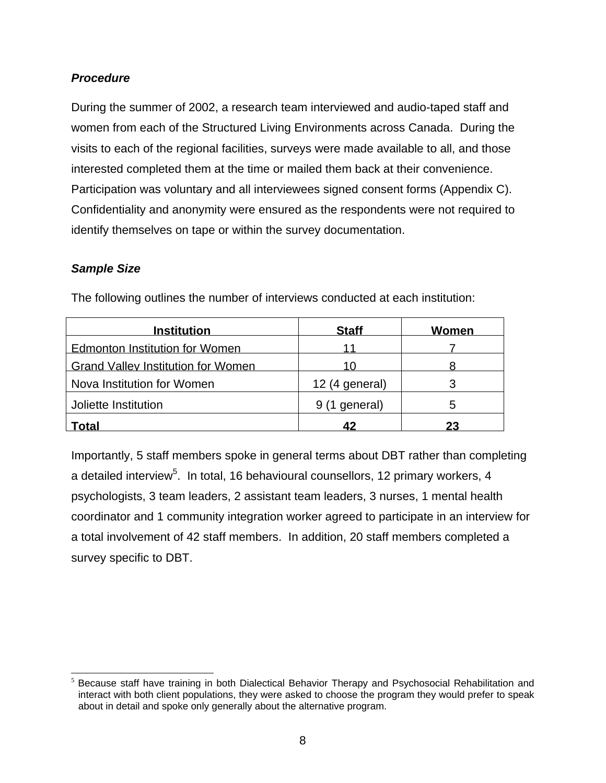## <span id="page-14-0"></span>*Procedure*

During the summer of 2002, a research team interviewed and audio-taped staff and women from each of the Structured Living Environments across Canada. During the visits to each of the regional facilities, surveys were made available to all, and those interested completed them at the time or mailed them back at their convenience. Participation was voluntary and all interviewees signed consent forms (Appendix C). Confidentiality and anonymity were ensured as the respondents were not required to identify themselves on tape or within the survey documentation.

### *Sample Size*

| <b>Institution</b>                        | <b>Staff</b>   | Women |
|-------------------------------------------|----------------|-------|
| <b>Edmonton Institution for Women</b>     | 11             |       |
| <b>Grand Valley Institution for Women</b> | 10             |       |
| Nova Institution for Women                | 12 (4 general) |       |
| Joliette Institution                      | 9 (1 general)  | ٠h    |
| Total                                     | 42             | 23    |

The following outlines the number of interviews conducted at each institution:

Importantly, 5 staff members spoke in general terms about DBT rather than completing a detailed interview<sup>[5](#page-14-1)</sup>. In total, 16 behavioural counsellors, 12 primary workers, 4 psychologists, 3 team leaders, 2 assistant team leaders, 3 nurses, 1 mental health coordinator and 1 community integration worker agreed to participate in an interview for a total involvement of 42 staff members. In addition, 20 staff members completed a survey specific to DBT.

<span id="page-14-1"></span><sup>&</sup>lt;sup>5</sup> Because staff have training in both Dialectical Behavior Therapy and Psychosocial Rehabilitation and interact with both client populations, they were asked to choose the program they would prefer to speak about in detail and spoke only generally about the alternative program.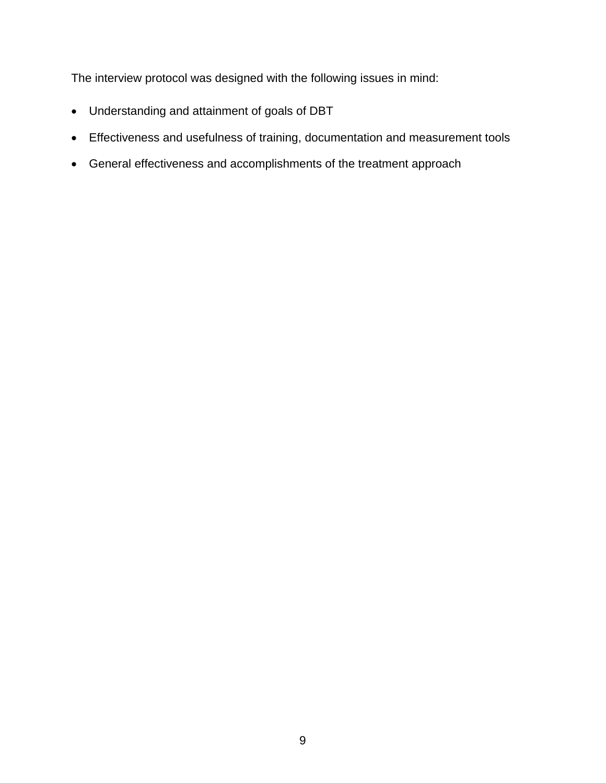The interview protocol was designed with the following issues in mind:

- Understanding and attainment of goals of DBT
- Effectiveness and usefulness of training, documentation and measurement tools
- General effectiveness and accomplishments of the treatment approach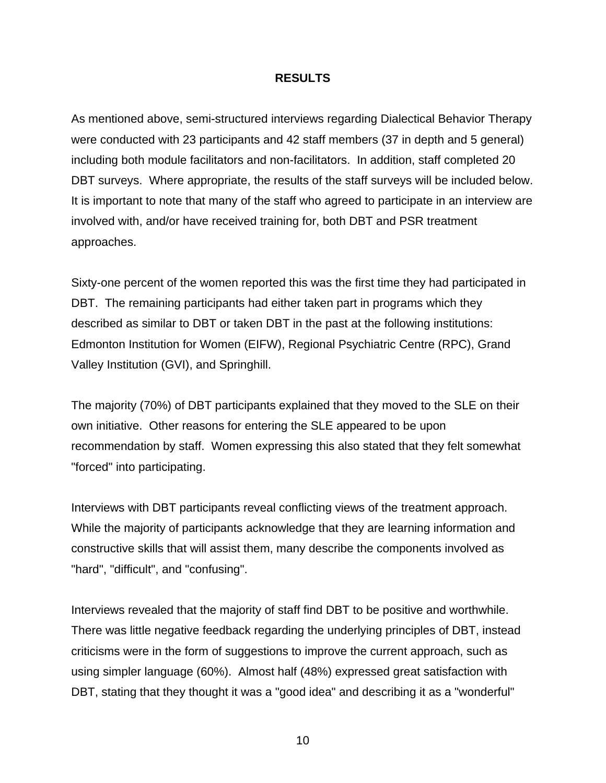#### **RESULTS**

<span id="page-16-0"></span>As mentioned above, semi-structured interviews regarding Dialectical Behavior Therapy were conducted with 23 participants and 42 staff members (37 in depth and 5 general) including both module facilitators and non-facilitators.In addition, staff completed 20 DBT surveys. Where appropriate, the results of the staff surveys will be included below. It is important to note that many of the staff who agreed to participate in an interview are involved with, and/or have received training for, both DBT and PSR treatment approaches.

Sixty-one percent of the women reported this was the first time they had participated in DBT. The remaining participants had either taken part in programs which they described as similar to DBT or taken DBT in the past at the following institutions: Edmonton Institution for Women (EIFW), Regional Psychiatric Centre (RPC), Grand Valley Institution (GVI), and Springhill.

The majority (70%) of DBT participants explained that they moved to the SLE on their own initiative. Other reasons for entering the SLE appeared to be upon recommendation by staff. Women expressing this also stated that they felt somewhat "forced" into participating.

Interviews with DBT participants reveal conflicting views of the treatment approach. While the majority of participants acknowledge that they are learning information and constructive skills that will assist them, many describe the components involved as "hard", "difficult", and "confusing".

Interviews revealed that the majority of staff find DBT to be positive and worthwhile. There was little negative feedback regarding the underlying principles of DBT, instead criticisms were in the form of suggestions to improve the current approach, such as using simpler language (60%). Almost half (48%) expressed great satisfaction with DBT, stating that they thought it was a "good idea" and describing it as a "wonderful"

10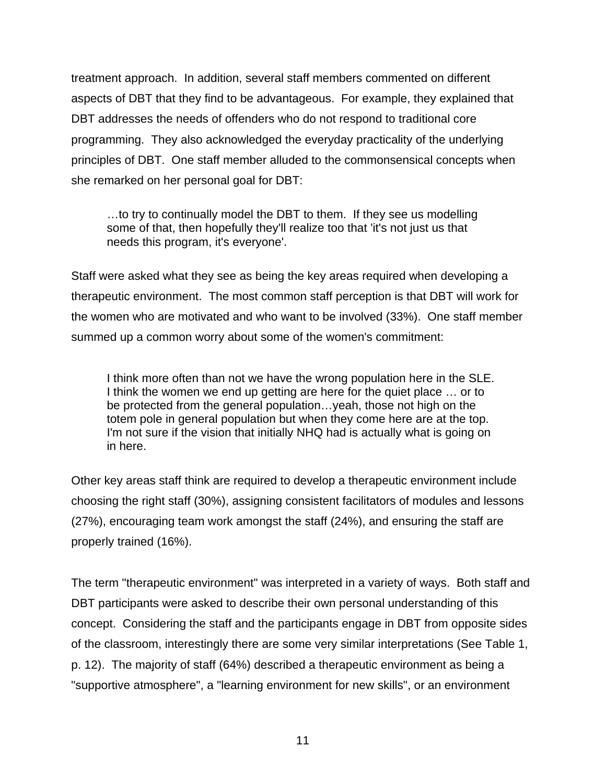treatment approach. In addition, several staff members commented on different aspects of DBT that they find to be advantageous. For example, they explained that DBT addresses the needs of offenders who do not respond to traditional core programming. They also acknowledged the everyday practicality of the underlying principles of DBT. One staff member alluded to the commonsensical concepts when she remarked on her personal goal for DBT:

…to try to continually model the DBT to them. If they see us modelling some of that, then hopefully they'll realize too that 'it's not just us that needs this program, it's everyone'.

Staff were asked what they see as being the key areas required when developing a therapeutic environment. The most common staff perception is that DBT will work for the women who are motivated and who want to be involved (33%). One staff member summed up a common worry about some of the women's commitment:

I think more often than not we have the wrong population here in the SLE. I think the women we end up getting are here for the quiet place … or to be protected from the general population…yeah, those not high on the totem pole in general population but when they come here are at the top. I'm not sure if the vision that initially NHQ had is actually what is going on in here.

Other key areas staff think are required to develop a therapeutic environment include choosing the right staff (30%), assigning consistent facilitators of modules and lessons (27%), encouraging team work amongst the staff (24%), and ensuring the staff are properly trained (16%).

The term "therapeutic environment" was interpreted in a variety of ways. Both staff and DBT participants were asked to describe their own personal understanding of this concept. Considering the staff and the participants engage in DBT from opposite sides of the classroom, interestingly there are some very similar interpretations (See Table 1, p. 12). The majority of staff (64%) described a therapeutic environment as being a "supportive atmosphere", a "learning environment for new skills", or an environment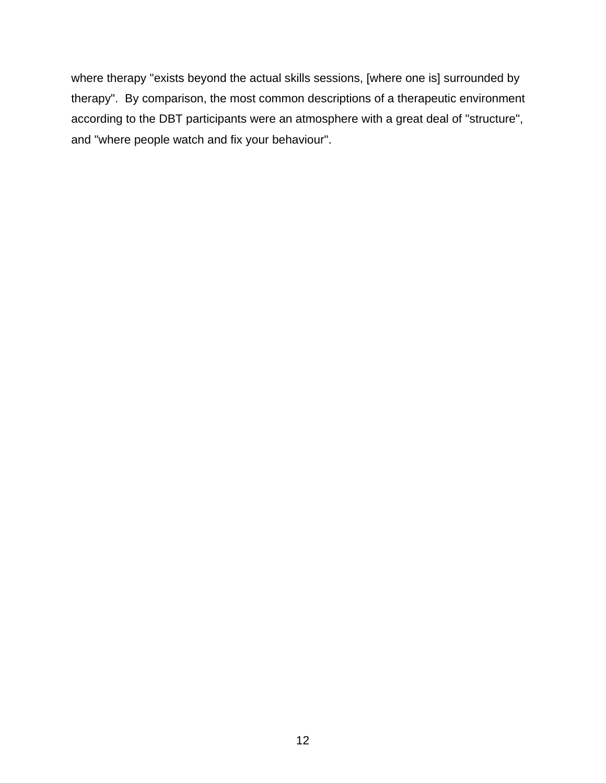where therapy "exists beyond the actual skills sessions, [where one is] surrounded by therapy". By comparison, the most common descriptions of a therapeutic environment according to the DBT participants were an atmosphere with a great deal of "structure", and "where people watch and fix your behaviour".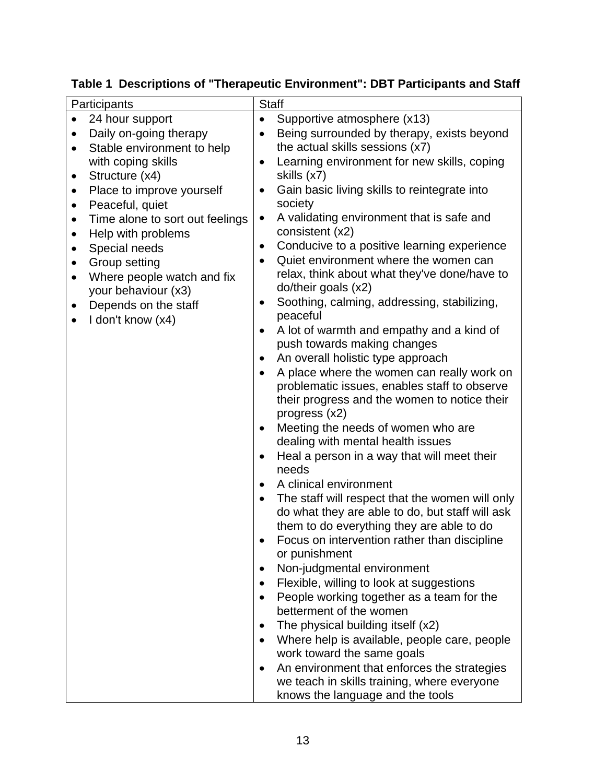| Participants                                                        | <b>Staff</b>                                                                                 |
|---------------------------------------------------------------------|----------------------------------------------------------------------------------------------|
| 24 hour support                                                     | Supportive atmosphere (x13)<br>$\bullet$                                                     |
| Daily on-going therapy                                              | Being surrounded by therapy, exists beyond<br>$\bullet$                                      |
| Stable environment to help<br>$\bullet$                             | the actual skills sessions (x7)                                                              |
| with coping skills                                                  | Learning environment for new skills, coping<br>$\bullet$                                     |
| Structure (x4)<br>$\bullet$                                         | skills (x7)                                                                                  |
| Place to improve yourself<br>٠                                      | Gain basic living skills to reintegrate into<br>$\bullet$<br>society                         |
| Peaceful, quiet<br>$\bullet$<br>Time alone to sort out feelings     | A validating environment that is safe and<br>$\bullet$                                       |
| $\bullet$<br>Help with problems<br>٠                                | consistent (x2)                                                                              |
| Special needs<br>$\bullet$                                          | Conducive to a positive learning experience<br>$\bullet$                                     |
| Group setting<br>$\bullet$                                          | Quiet environment where the women can<br>$\bullet$                                           |
| Where people watch and fix<br>$\bullet$                             | relax, think about what they've done/have to                                                 |
| your behaviour (x3)                                                 | do/their goals (x2)                                                                          |
| Depends on the staff<br>$\bullet$<br>I don't know (x4)<br>$\bullet$ | Soothing, calming, addressing, stabilizing,<br>$\bullet$<br>peaceful                         |
|                                                                     | A lot of warmth and empathy and a kind of<br>$\bullet$                                       |
|                                                                     | push towards making changes                                                                  |
|                                                                     | An overall holistic type approach<br>$\bullet$                                               |
|                                                                     | A place where the women can really work on<br>$\bullet$                                      |
|                                                                     | problematic issues, enables staff to observe<br>their progress and the women to notice their |
|                                                                     | progress (x2)                                                                                |
|                                                                     | Meeting the needs of women who are<br>٠                                                      |
|                                                                     | dealing with mental health issues                                                            |
|                                                                     | Heal a person in a way that will meet their<br>$\bullet$                                     |
|                                                                     | needs                                                                                        |
|                                                                     | A clinical environment<br>$\bullet$                                                          |
|                                                                     | The staff will respect that the women will only                                              |
|                                                                     | do what they are able to do, but staff will ask<br>them to do everything they are able to do |
|                                                                     | Focus on intervention rather than discipline                                                 |
|                                                                     | or punishment                                                                                |
|                                                                     | Non-judgmental environment<br>٠                                                              |
|                                                                     | Flexible, willing to look at suggestions<br>$\bullet$                                        |
|                                                                     | People working together as a team for the<br>$\bullet$                                       |
|                                                                     | betterment of the women                                                                      |
|                                                                     | The physical building itself (x2)<br>$\bullet$                                               |
|                                                                     | Where help is available, people care, people<br>$\bullet$                                    |
|                                                                     | work toward the same goals<br>An environment that enforces the strategies                    |
|                                                                     | we teach in skills training, where everyone                                                  |
|                                                                     | knows the language and the tools                                                             |

<span id="page-19-0"></span>**Table 1 Descriptions of "Therapeutic Environment": DBT Participants and Staff**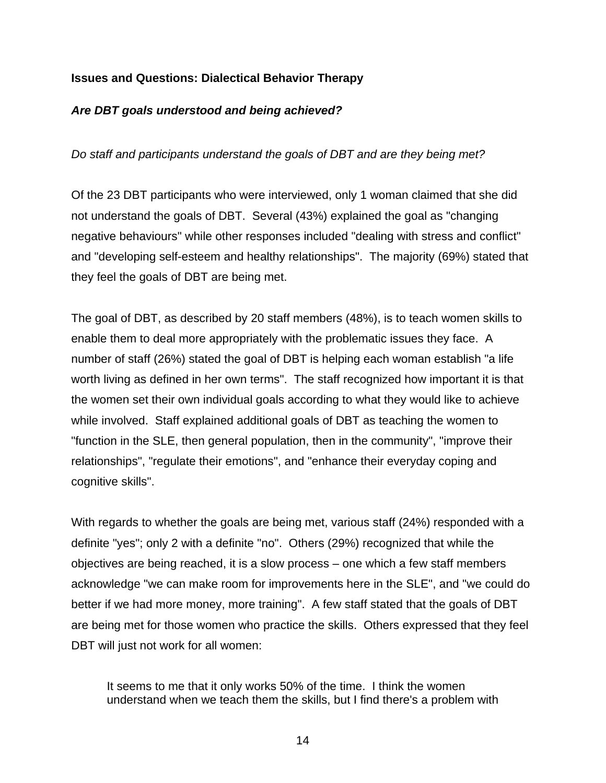## <span id="page-20-0"></span>**Issues and Questions: Dialectical Behavior Therapy**

### *Are DBT goals understood and being achieved?*

*Do staff and participants understand the goals of DBT and are they being met?* 

Of the 23 DBT participants who were interviewed, only 1 woman claimed that she did not understand the goals of DBT. Several (43%) explained the goal as "changing negative behaviours" while other responses included "dealing with stress and conflict" and "developing self-esteem and healthy relationships". The majority (69%) stated that they feel the goals of DBT are being met.

The goal of DBT, as described by 20 staff members (48%), is to teach women skills to enable them to deal more appropriately with the problematic issues they face. A number of staff (26%) stated the goal of DBT is helping each woman establish "a life worth living as defined in her own terms". The staff recognized how important it is that the women set their own individual goals according to what they would like to achieve while involved. Staff explained additional goals of DBT as teaching the women to "function in the SLE, then general population, then in the community", "improve their relationships", "regulate their emotions", and "enhance their everyday coping and cognitive skills".

With regards to whether the goals are being met, various staff (24%) responded with a definite "yes"; only 2 with a definite "no". Others (29%) recognized that while the objectives are being reached, it is a slow process – one which a few staff members acknowledge "we can make room for improvements here in the SLE", and "we could do better if we had more money, more training". A few staff stated that the goals of DBT are being met for those women who practice the skills. Others expressed that they feel DBT will just not work for all women:

It seems to me that it only works 50% of the time. I think the women understand when we teach them the skills, but I find there's a problem with

14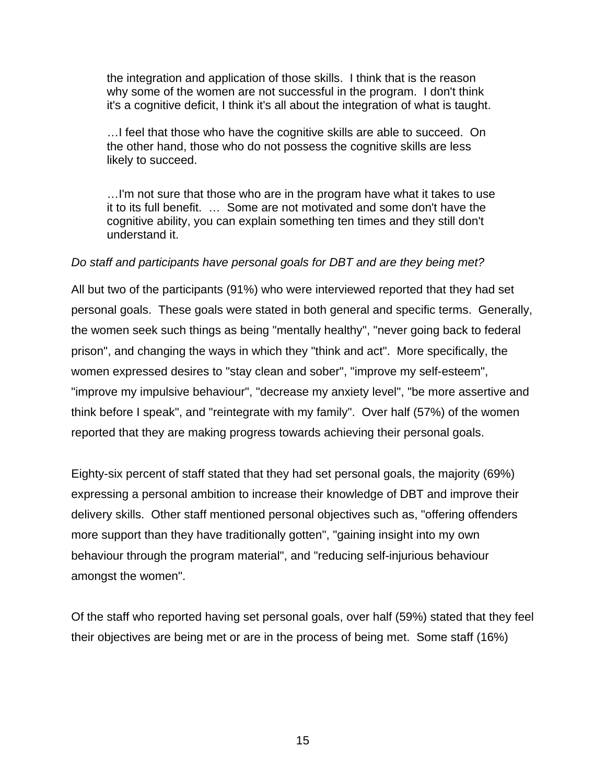the integration and application of those skills. I think that is the reason why some of the women are not successful in the program. I don't think it's a cognitive deficit, I think it's all about the integration of what is taught.

…I feel that those who have the cognitive skills are able to succeed. On the other hand, those who do not possess the cognitive skills are less likely to succeed.

…I'm not sure that those who are in the program have what it takes to use it to its full benefit. … Some are not motivated and some don't have the cognitive ability, you can explain something ten times and they still don't understand it.

### *Do staff and participants have personal goals for DBT and are they being met?*

All but two of the participants (91%) who were interviewed reported that they had set personal goals. These goals were stated in both general and specific terms. Generally, the women seek such things as being "mentally healthy", "never going back to federal prison", and changing the ways in which they "think and act". More specifically, the women expressed desires to "stay clean and sober", "improve my self-esteem", "improve my impulsive behaviour", "decrease my anxiety level", "be more assertive and think before I speak", and "reintegrate with my family". Over half (57%) of the women reported that they are making progress towards achieving their personal goals.

Eighty-six percent of staff stated that they had set personal goals, the majority (69%) expressing a personal ambition to increase their knowledge of DBT and improve their delivery skills. Other staff mentioned personal objectives such as, "offering offenders more support than they have traditionally gotten", "gaining insight into my own behaviour through the program material", and "reducing self-injurious behaviour amongst the women".

Of the staff who reported having set personal goals, over half (59%) stated that they feel their objectives are being met or are in the process of being met. Some staff (16%)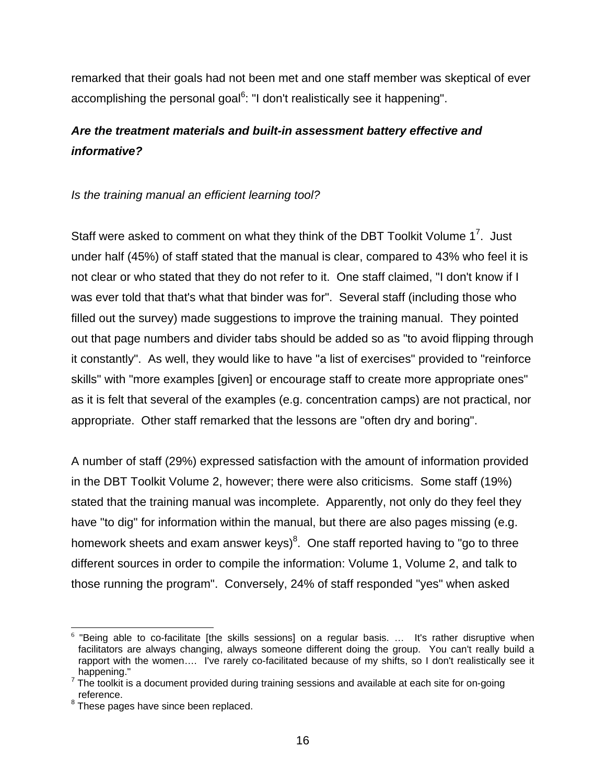<span id="page-22-0"></span>remarked that their goals had not been met and one staff member was skeptical of ever accomplishing the personal goal<sup>[6](#page-22-1)</sup>: "I don't realistically see it happening".

# *Are the treatment materials and built-in assessment battery effective and informative?*

## *Is the training manual an efficient learning tool?*

Staff were asked to comment on what they think of the DBT Toolkit Volume  $1^7$  $1^7$ . Just under half (45%) of staff stated that the manual is clear, compared to 43% who feel it is not clear or who stated that they do not refer to it. One staff claimed, "I don't know if I was ever told that that's what that binder was for". Several staff (including those who filled out the survey) made suggestions to improve the training manual. They pointed out that page numbers and divider tabs should be added so as "to avoid flipping through it constantly". As well, they would like to have "a list of exercises" provided to "reinforce skills" with "more examples [given] or encourage staff to create more appropriate ones" as it is felt that several of the examples (e.g. concentration camps) are not practical, nor appropriate. Other staff remarked that the lessons are "often dry and boring".

A number of staff (29%) expressed satisfaction with the amount of information provided in the DBT Toolkit Volume 2, however; there were also criticisms. Some staff (19%) stated that the training manual was incomplete. Apparently, not only do they feel they have "to dig" for information within the manual, but there are also pages missing (e.g. homework sheets and exam answer keys) $8$ . One staff reported having to "go to three different sources in order to compile the information: Volume 1, Volume 2, and talk to those running the program". Conversely, 24% of staff responded "yes" when asked

<span id="page-22-1"></span> $6$  "Being able to co-facilitate [the skills sessions] on a regular basis. ... It's rather disruptive when facilitators are always changing, always someone different doing the group. You can't really build a rapport with the women…. I've rarely co-facilitated because of my shifts, so I don't realistically see it

<span id="page-22-2"></span><sup>&</sup>lt;sub>7</sub> happening."<br><sup>7</sup> The toolkit is a document provided during training sessions and available at each site for on-going reference.

<span id="page-22-3"></span> $8$  These pages have since been replaced.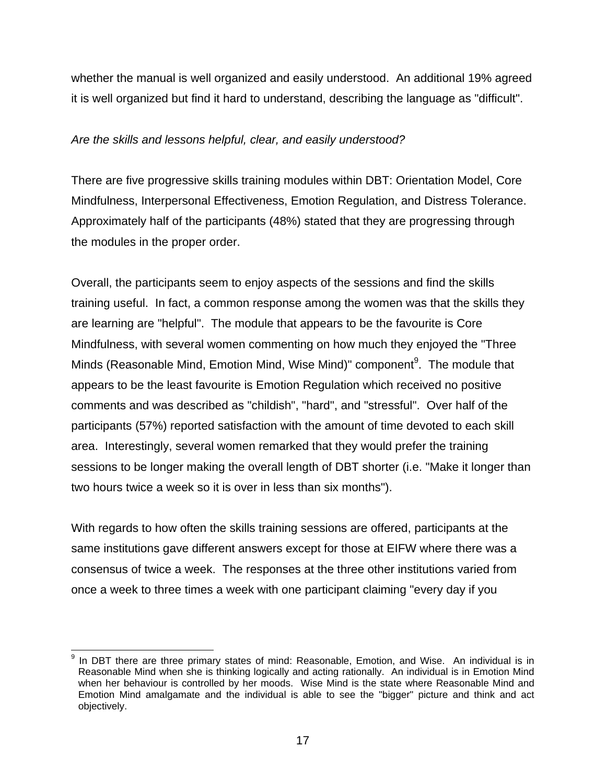whether the manual is well organized and easily understood. An additional 19% agreed it is well organized but find it hard to understand, describing the language as "difficult".

## *Are the skills and lessons helpful, clear, and easily understood?*

There are five progressive skills training modules within DBT: Orientation Model, Core Mindfulness, Interpersonal Effectiveness, Emotion Regulation, and Distress Tolerance. Approximately half of the participants (48%) stated that they are progressing through the modules in the proper order.

Overall, the participants seem to enjoy aspects of the sessions and find the skills training useful. In fact, a common response among the women was that the skills they are learning are "helpful". The module that appears to be the favourite is Core Mindfulness, with several women commenting on how much they enjoyed the "Three Minds (Reasonable Mind, Emotion Mind, Wise Mind)" component<sup>[9](#page-23-0)</sup>. The module that appears to be the least favourite is Emotion Regulation which received no positive comments and was described as "childish", "hard", and "stressful". Over half of the participants (57%) reported satisfaction with the amount of time devoted to each skill area. Interestingly, several women remarked that they would prefer the training sessions to be longer making the overall length of DBT shorter (i.e. "Make it longer than two hours twice a week so it is over in less than six months").

With regards to how often the skills training sessions are offered, participants at the same institutions gave different answers except for those at EIFW where there was a consensus of twice a week. The responses at the three other institutions varied from once a week to three times a week with one participant claiming "every day if you

<span id="page-23-0"></span><sup>-&</sup>lt;br>9 In DBT there are three primary states of mind: Reasonable, Emotion, and Wise. An individual is in Reasonable Mind when she is thinking logically and acting rationally. An individual is in Emotion Mind when her behaviour is controlled by her moods. Wise Mind is the state where Reasonable Mind and Emotion Mind amalgamate and the individual is able to see the "bigger" picture and think and act objectively.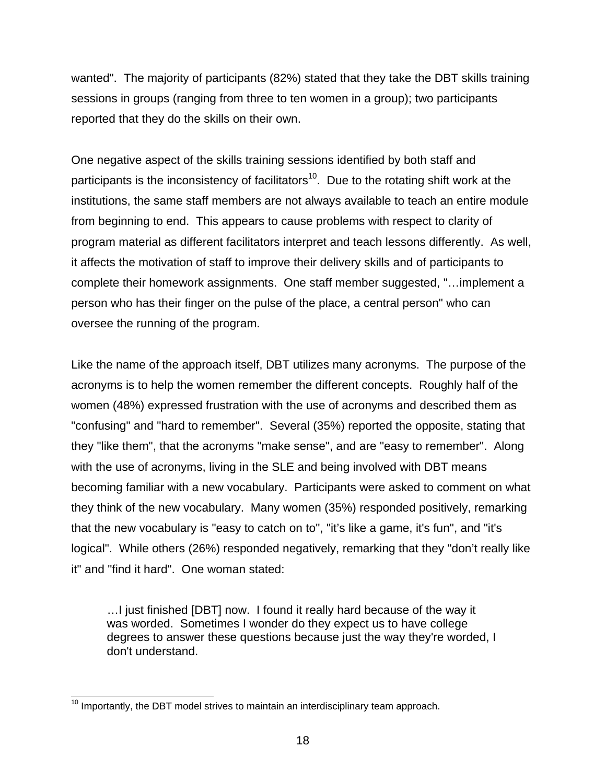wanted". The majority of participants (82%) stated that they take the DBT skills training sessions in groups (ranging from three to ten women in a group); two participants reported that they do the skills on their own.

One negative aspect of the skills training sessions identified by both staff and participants is the inconsistency of facilitators<sup>10</sup>. Due to the rotating shift work at the institutions, the same staff members are not always available to teach an entire module from beginning to end. This appears to cause problems with respect to clarity of program material as different facilitators interpret and teach lessons differently. As well, it affects the motivation of staff to improve their delivery skills and of participants to complete their homework assignments. One staff member suggested, "…implement a person who has their finger on the pulse of the place, a central person" who can oversee the running of the program.

Like the name of the approach itself, DBT utilizes many acronyms. The purpose of the acronyms is to help the women remember the different concepts. Roughly half of the women (48%) expressed frustration with the use of acronyms and described them as "confusing" and "hard to remember". Several (35%) reported the opposite, stating that they "like them", that the acronyms "make sense", and are "easy to remember". Along with the use of acronyms, living in the SLE and being involved with DBT means becoming familiar with a new vocabulary. Participants were asked to comment on what they think of the new vocabulary. Many women (35%) responded positively, remarking that the new vocabulary is "easy to catch on to", "it's like a game, it's fun", and "it's logical". While others (26%) responded negatively, remarking that they "don't really like it" and "find it hard". One woman stated:

…I just finished [DBT] now. I found it really hard because of the way it was worded. Sometimes I wonder do they expect us to have college degrees to answer these questions because just the way they're worded, I don't understand.

<span id="page-24-0"></span> $10$  Importantly, the DBT model strives to maintain an interdisciplinary team approach.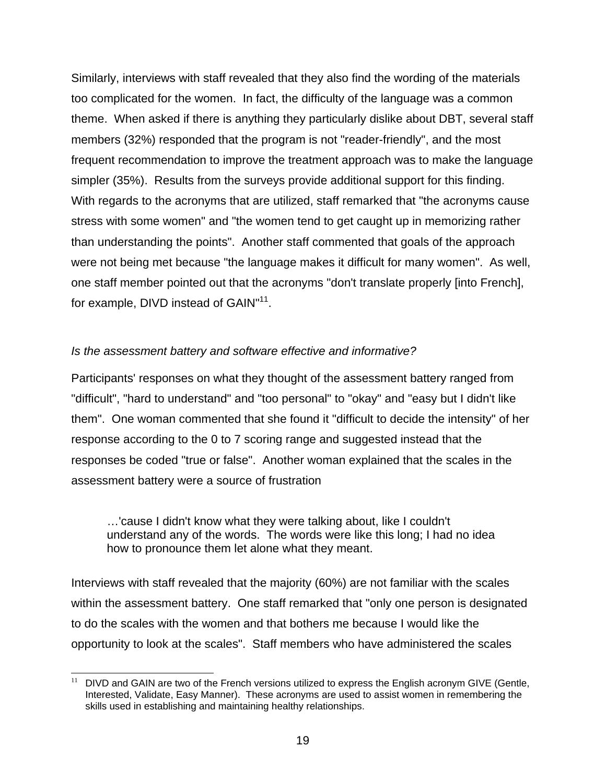Similarly, interviews with staff revealed that they also find the wording of the materials too complicated for the women. In fact, the difficulty of the language was a common theme. When asked if there is anything they particularly dislike about DBT, several staff members (32%) responded that the program is not "reader-friendly", and the most frequent recommendation to improve the treatment approach was to make the language simpler (35%). Results from the surveys provide additional support for this finding. With regards to the acronyms that are utilized, staff remarked that "the acronyms cause stress with some women" and "the women tend to get caught up in memorizing rather than understanding the points". Another staff commented that goals of the approach were not being met because "the language makes it difficult for many women". As well, one staff member pointed out that the acronyms "don't translate properly [into French], for example, DIVD instead of GAIN"<sup>11</sup>.

## *Is the assessment battery and software effective and informative?*

Participants' responses on what they thought of the assessment battery ranged from "difficult", "hard to understand" and "too personal" to "okay" and "easy but I didn't like them". One woman commented that she found it "difficult to decide the intensity" of her response according to the 0 to 7 scoring range and suggested instead that the responses be coded "true or false". Another woman explained that the scales in the assessment battery were a source of frustration

…'cause I didn't know what they were talking about, like I couldn't understand any of the words. The words were like this long; I had no idea how to pronounce them let alone what they meant.

Interviews with staff revealed that the majority (60%) are not familiar with the scales within the assessment battery. One staff remarked that "only one person is designated to do the scales with the women and that bothers me because I would like the opportunity to look at the scales". Staff members who have administered the scales

<span id="page-25-0"></span><sup>&</sup>lt;sup>11</sup> DIVD and GAIN are two of the French versions utilized to express the English acronym GIVE (Gentle, Interested, Validate, Easy Manner). These acronyms are used to assist women in remembering the skills used in establishing and maintaining healthy relationships.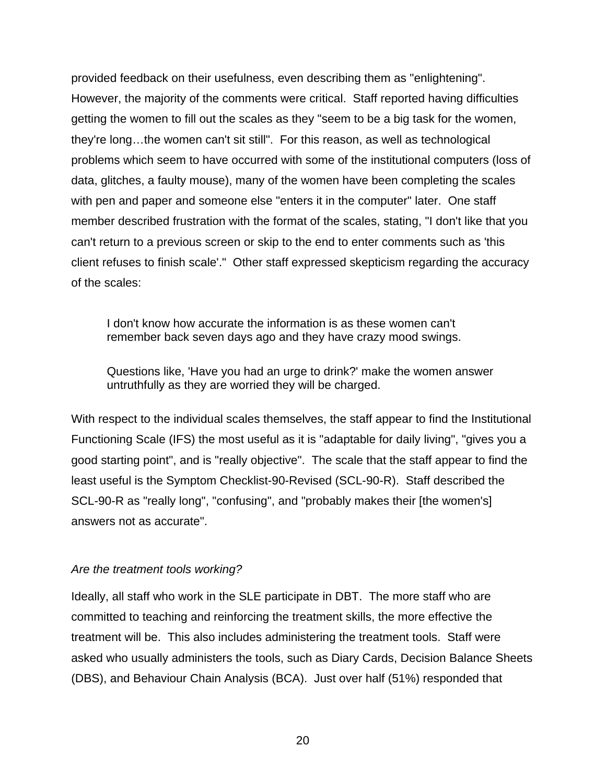provided feedback on their usefulness, even describing them as "enlightening". However, the majority of the comments were critical. Staff reported having difficulties getting the women to fill out the scales as they "seem to be a big task for the women, they're long…the women can't sit still". For this reason, as well as technological problems which seem to have occurred with some of the institutional computers (loss of data, glitches, a faulty mouse), many of the women have been completing the scales with pen and paper and someone else "enters it in the computer" later. One staff member described frustration with the format of the scales, stating, "I don't like that you can't return to a previous screen or skip to the end to enter comments such as 'this client refuses to finish scale'." Other staff expressed skepticism regarding the accuracy of the scales:

I don't know how accurate the information is as these women can't remember back seven days ago and they have crazy mood swings.

Questions like, 'Have you had an urge to drink?' make the women answer untruthfully as they are worried they will be charged.

With respect to the individual scales themselves, the staff appear to find the Institutional Functioning Scale (IFS) the most useful as it is "adaptable for daily living", "gives you a good starting point", and is "really objective". The scale that the staff appear to find the least useful is the Symptom Checklist-90-Revised (SCL-90-R). Staff described the SCL-90-R as "really long", "confusing", and "probably makes their [the women's] answers not as accurate".

### *Are the treatment tools working?*

Ideally, all staff who work in the SLE participate in DBT. The more staff who are committed to teaching and reinforcing the treatment skills, the more effective the treatment will be. This also includes administering the treatment tools. Staff were asked who usually administers the tools, such as Diary Cards, Decision Balance Sheets (DBS), and Behaviour Chain Analysis (BCA). Just over half (51%) responded that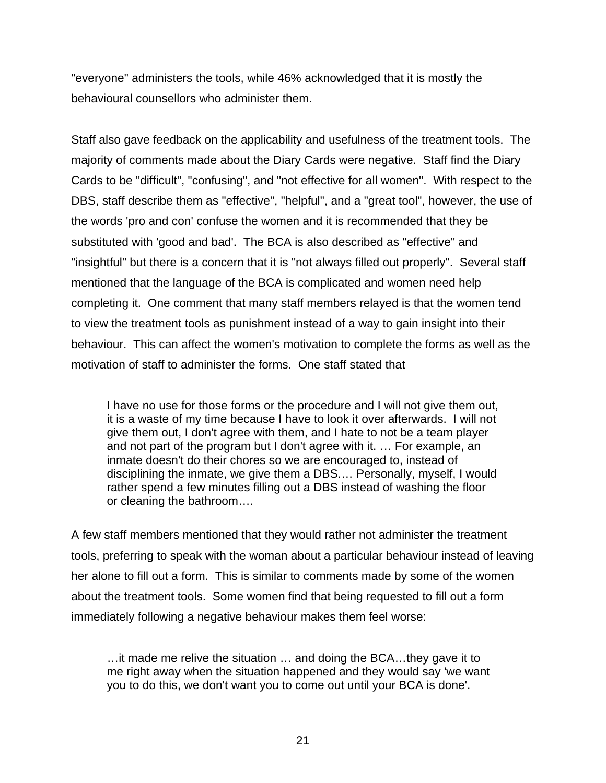"everyone" administers the tools, while 46% acknowledged that it is mostly the behavioural counsellors who administer them.

Staff also gave feedback on the applicability and usefulness of the treatment tools. The majority of comments made about the Diary Cards were negative. Staff find the Diary Cards to be "difficult", "confusing", and "not effective for all women". With respect to the DBS, staff describe them as "effective", "helpful", and a "great tool", however, the use of the words 'pro and con' confuse the women and it is recommended that they be substituted with 'good and bad'. The BCA is also described as "effective" and "insightful" but there is a concern that it is "not always filled out properly". Several staff mentioned that the language of the BCA is complicated and women need help completing it. One comment that many staff members relayed is that the women tend to view the treatment tools as punishment instead of a way to gain insight into their behaviour. This can affect the women's motivation to complete the forms as well as the motivation of staff to administer the forms. One staff stated that

I have no use for those forms or the procedure and I will not give them out, it is a waste of my time because I have to look it over afterwards. I will not give them out, I don't agree with them, and I hate to not be a team player and not part of the program but I don't agree with it. … For example, an inmate doesn't do their chores so we are encouraged to, instead of disciplining the inmate, we give them a DBS.… Personally, myself, I would rather spend a few minutes filling out a DBS instead of washing the floor or cleaning the bathroom….

A few staff members mentioned that they would rather not administer the treatment tools, preferring to speak with the woman about a particular behaviour instead of leaving her alone to fill out a form. This is similar to comments made by some of the women about the treatment tools. Some women find that being requested to fill out a form immediately following a negative behaviour makes them feel worse:

…it made me relive the situation … and doing the BCA…they gave it to me right away when the situation happened and they would say 'we want you to do this, we don't want you to come out until your BCA is done'.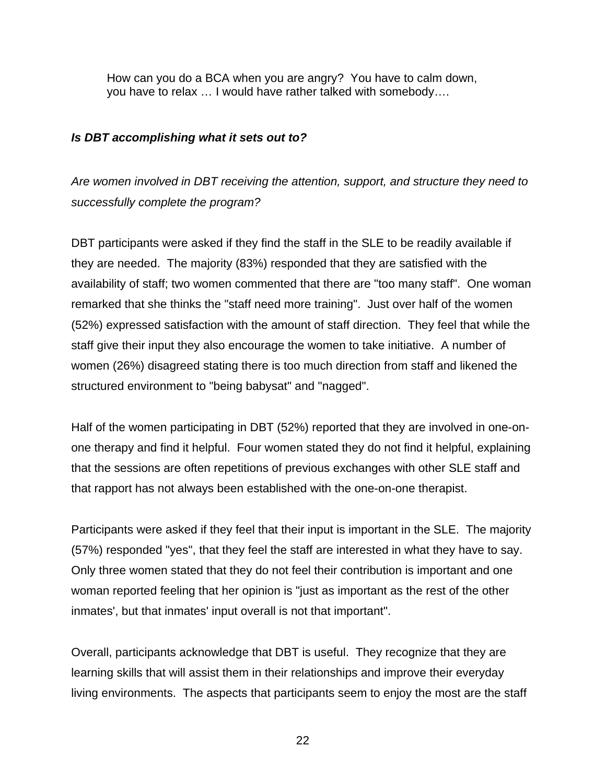<span id="page-28-0"></span>How can you do a BCA when you are angry? You have to calm down, you have to relax … I would have rather talked with somebody….

### *Is DBT accomplishing what it sets out to?*

*Are women involved in DBT receiving the attention, support, and structure they need to successfully complete the program?*

DBT participants were asked if they find the staff in the SLE to be readily available if they are needed. The majority (83%) responded that they are satisfied with the availability of staff; two women commented that there are "too many staff". One woman remarked that she thinks the "staff need more training". Just over half of the women (52%) expressed satisfaction with the amount of staff direction. They feel that while the staff give their input they also encourage the women to take initiative. A number of women (26%) disagreed stating there is too much direction from staff and likened the structured environment to "being babysat" and "nagged".

Half of the women participating in DBT (52%) reported that they are involved in one-onone therapy and find it helpful. Four women stated they do not find it helpful, explaining that the sessions are often repetitions of previous exchanges with other SLE staff and that rapport has not always been established with the one-on-one therapist.

Participants were asked if they feel that their input is important in the SLE. The majority (57%) responded "yes", that they feel the staff are interested in what they have to say. Only three women stated that they do not feel their contribution is important and one woman reported feeling that her opinion is "just as important as the rest of the other inmates', but that inmates' input overall is not that important".

Overall, participants acknowledge that DBT is useful. They recognize that they are learning skills that will assist them in their relationships and improve their everyday living environments. The aspects that participants seem to enjoy the most are the staff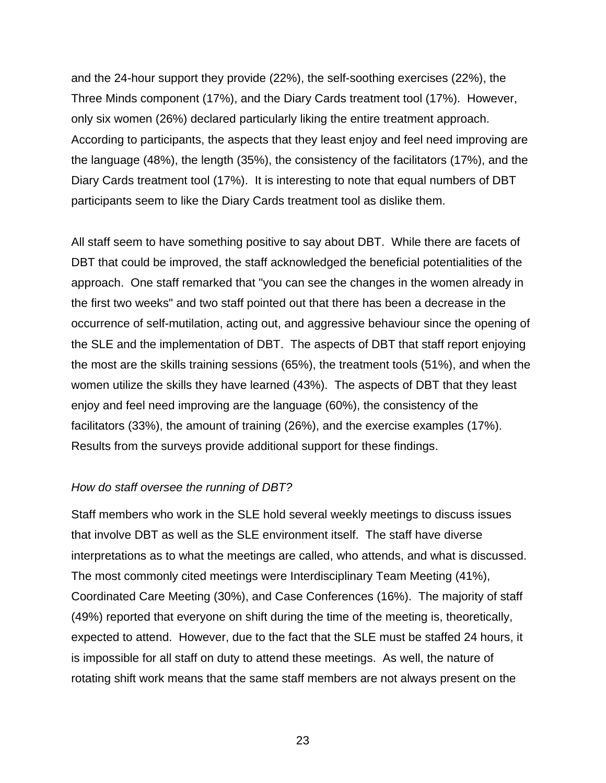and the 24-hour support they provide (22%), the self-soothing exercises (22%), the Three Minds component (17%), and the Diary Cards treatment tool (17%). However, only six women (26%) declared particularly liking the entire treatment approach. According to participants, the aspects that they least enjoy and feel need improving are the language (48%), the length (35%), the consistency of the facilitators (17%), and the Diary Cards treatment tool (17%). It is interesting to note that equal numbers of DBT participants seem to like the Diary Cards treatment tool as dislike them.

All staff seem to have something positive to say about DBT. While there are facets of DBT that could be improved, the staff acknowledged the beneficial potentialities of the approach. One staff remarked that "you can see the changes in the women already in the first two weeks" and two staff pointed out that there has been a decrease in the occurrence of self-mutilation, acting out, and aggressive behaviour since the opening of the SLE and the implementation of DBT. The aspects of DBT that staff report enjoying the most are the skills training sessions (65%), the treatment tools (51%), and when the women utilize the skills they have learned (43%). The aspects of DBT that they least enjoy and feel need improving are the language (60%), the consistency of the facilitators (33%), the amount of training (26%), and the exercise examples (17%). Results from the surveys provide additional support for these findings.

### *How do staff oversee the running of DBT?*

Staff members who work in the SLE hold several weekly meetings to discuss issues that involve DBT as well as the SLE environment itself. The staff have diverse interpretations as to what the meetings are called, who attends, and what is discussed. The most commonly cited meetings were Interdisciplinary Team Meeting (41%), Coordinated Care Meeting (30%), and Case Conferences (16%). The majority of staff (49%) reported that everyone on shift during the time of the meeting is, theoretically, expected to attend. However, due to the fact that the SLE must be staffed 24 hours, it is impossible for all staff on duty to attend these meetings. As well, the nature of rotating shift work means that the same staff members are not always present on the

23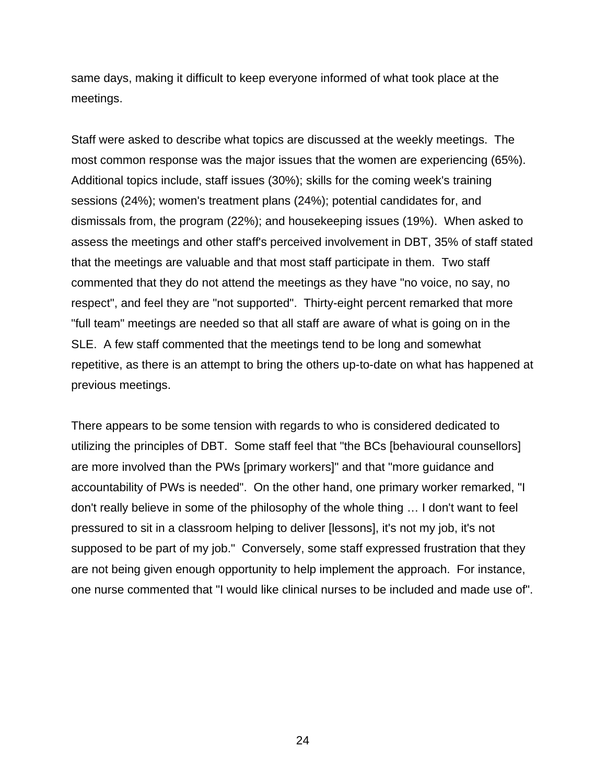same days, making it difficult to keep everyone informed of what took place at the meetings.

Staff were asked to describe what topics are discussed at the weekly meetings. The most common response was the major issues that the women are experiencing (65%). Additional topics include, staff issues (30%); skills for the coming week's training sessions (24%); women's treatment plans (24%); potential candidates for, and dismissals from, the program (22%); and housekeeping issues (19%). When asked to assess the meetings and other staff's perceived involvement in DBT, 35% of staff stated that the meetings are valuable and that most staff participate in them. Two staff commented that they do not attend the meetings as they have "no voice, no say, no respect", and feel they are "not supported". Thirty-eight percent remarked that more "full team" meetings are needed so that all staff are aware of what is going on in the SLE. A few staff commented that the meetings tend to be long and somewhat repetitive, as there is an attempt to bring the others up-to-date on what has happened at previous meetings.

There appears to be some tension with regards to who is considered dedicated to utilizing the principles of DBT. Some staff feel that "the BCs [behavioural counsellors] are more involved than the PWs [primary workers]" and that "more guidance and accountability of PWs is needed". On the other hand, one primary worker remarked, "I don't really believe in some of the philosophy of the whole thing … I don't want to feel pressured to sit in a classroom helping to deliver [lessons], it's not my job, it's not supposed to be part of my job." Conversely, some staff expressed frustration that they are not being given enough opportunity to help implement the approach. For instance, one nurse commented that "I would like clinical nurses to be included and made use of".

24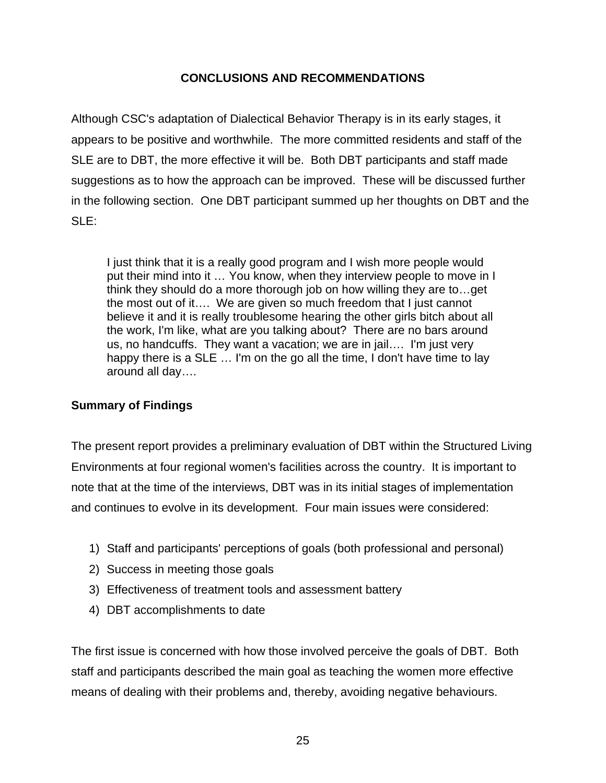## **CONCLUSIONS AND RECOMMENDATIONS**

<span id="page-31-0"></span>Although CSC's adaptation of Dialectical Behavior Therapy is in its early stages, it appears to be positive and worthwhile. The more committed residents and staff of the SLE are to DBT, the more effective it will be. Both DBT participants and staff made suggestions as to how the approach can be improved. These will be discussed further in the following section. One DBT participant summed up her thoughts on DBT and the SLE:

I just think that it is a really good program and I wish more people would put their mind into it … You know, when they interview people to move in I think they should do a more thorough job on how willing they are to…get the most out of it…. We are given so much freedom that I just cannot believe it and it is really troublesome hearing the other girls bitch about all the work, I'm like, what are you talking about? There are no bars around us, no handcuffs. They want a vacation; we are in jail…. I'm just very happy there is a SLE ... I'm on the go all the time, I don't have time to lay around all day….

## **Summary of Findings**

The present report provides a preliminary evaluation of DBT within the Structured Living Environments at four regional women's facilities across the country. It is important to note that at the time of the interviews, DBT was in its initial stages of implementation and continues to evolve in its development. Four main issues were considered:

- 1) Staff and participants' perceptions of goals (both professional and personal)
- 2) Success in meeting those goals
- 3) Effectiveness of treatment tools and assessment battery
- 4) DBT accomplishments to date

The first issue is concerned with how those involved perceive the goals of DBT. Both staff and participants described the main goal as teaching the women more effective means of dealing with their problems and, thereby, avoiding negative behaviours.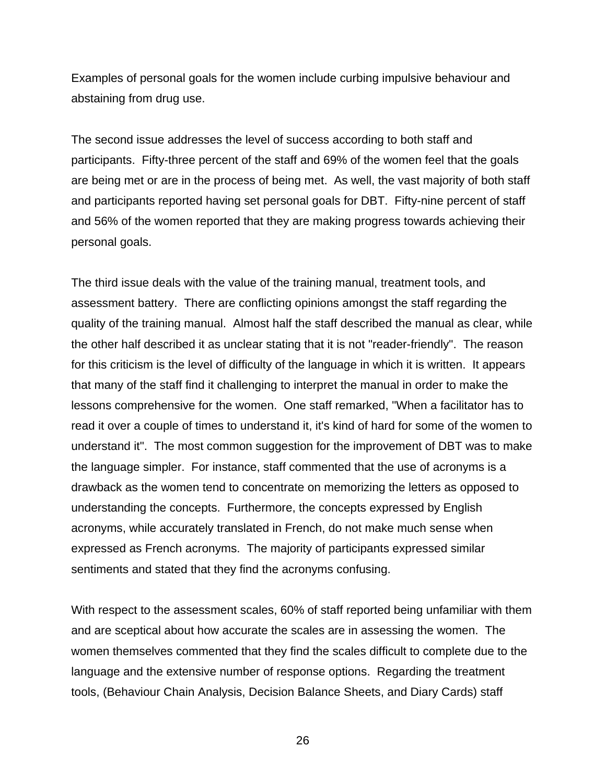Examples of personal goals for the women include curbing impulsive behaviour and abstaining from drug use.

The second issue addresses the level of success according to both staff and participants. Fifty-three percent of the staff and 69% of the women feel that the goals are being met or are in the process of being met. As well, the vast majority of both staff and participants reported having set personal goals for DBT. Fifty-nine percent of staff and 56% of the women reported that they are making progress towards achieving their personal goals.

The third issue deals with the value of the training manual, treatment tools, and assessment battery. There are conflicting opinions amongst the staff regarding the quality of the training manual. Almost half the staff described the manual as clear, while the other half described it as unclear stating that it is not "reader-friendly". The reason for this criticism is the level of difficulty of the language in which it is written. It appears that many of the staff find it challenging to interpret the manual in order to make the lessons comprehensive for the women. One staff remarked, "When a facilitator has to read it over a couple of times to understand it, it's kind of hard for some of the women to understand it". The most common suggestion for the improvement of DBT was to make the language simpler. For instance, staff commented that the use of acronyms is a drawback as the women tend to concentrate on memorizing the letters as opposed to understanding the concepts. Furthermore, the concepts expressed by English acronyms, while accurately translated in French, do not make much sense when expressed as French acronyms. The majority of participants expressed similar sentiments and stated that they find the acronyms confusing.

With respect to the assessment scales, 60% of staff reported being unfamiliar with them and are sceptical about how accurate the scales are in assessing the women. The women themselves commented that they find the scales difficult to complete due to the language and the extensive number of response options. Regarding the treatment tools, (Behaviour Chain Analysis, Decision Balance Sheets, and Diary Cards) staff

26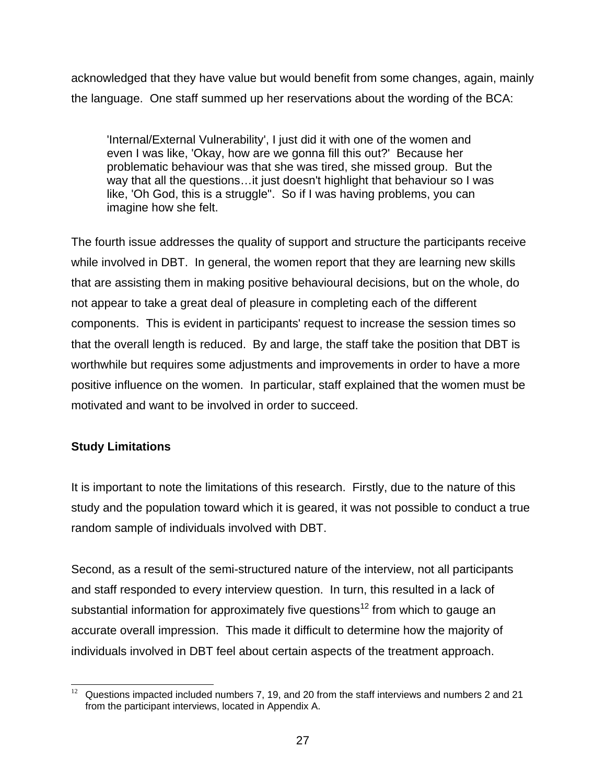<span id="page-33-0"></span>acknowledged that they have value but would benefit from some changes, again, mainly the language. One staff summed up her reservations about the wording of the BCA:

'Internal/External Vulnerability', I just did it with one of the women and even I was like, 'Okay, how are we gonna fill this out?' Because her problematic behaviour was that she was tired, she missed group. But the way that all the questions…it just doesn't highlight that behaviour so I was like, 'Oh God, this is a struggle". So if I was having problems, you can imagine how she felt.

The fourth issue addresses the quality of support and structure the participants receive while involved in DBT. In general, the women report that they are learning new skills that are assisting them in making positive behavioural decisions, but on the whole, do not appear to take a great deal of pleasure in completing each of the different components. This is evident in participants' request to increase the session times so that the overall length is reduced. By and large, the staff take the position that DBT is worthwhile but requires some adjustments and improvements in order to have a more positive influence on the women. In particular, staff explained that the women must be motivated and want to be involved in order to succeed.

## **Study Limitations**

It is important to note the limitations of this research. Firstly, due to the nature of this study and the population toward which it is geared, it was not possible to conduct a true random sample of individuals involved with DBT.

Second, as a result of the semi-structured nature of the interview, not all participants and staff responded to every interview question. In turn, this resulted in a lack of substantial information for approximately five questions<sup>12</sup> from which to gauge an accurate overall impression. This made it difficult to determine how the majority of individuals involved in DBT feel about certain aspects of the treatment approach.

<span id="page-33-1"></span> $12$  Questions impacted included numbers 7, 19, and 20 from the staff interviews and numbers 2 and 21 from the participant interviews, located in Appendix A.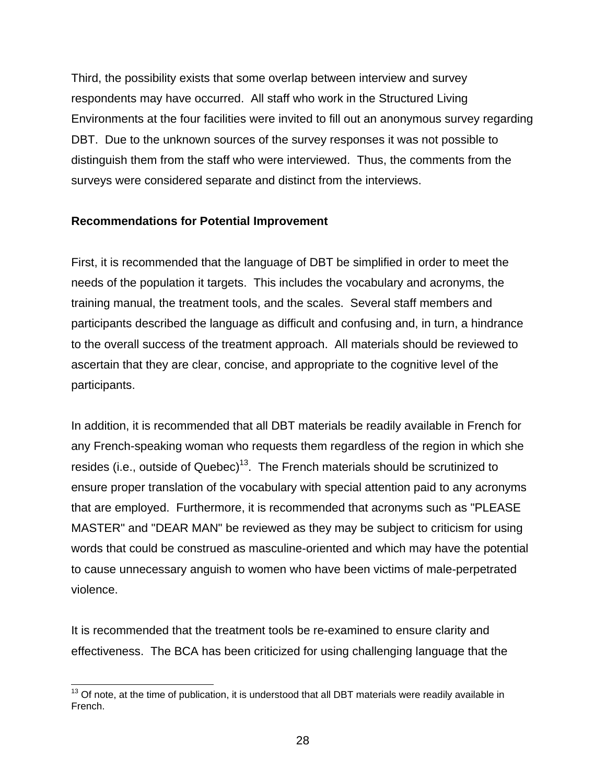<span id="page-34-0"></span>Third, the possibility exists that some overlap between interview and survey respondents may have occurred. All staff who work in the Structured Living Environments at the four facilities were invited to fill out an anonymous survey regarding DBT. Due to the unknown sources of the survey responses it was not possible to distinguish them from the staff who were interviewed. Thus, the comments from the surveys were considered separate and distinct from the interviews.

### **Recommendations for Potential Improvement**

First, it is recommended that the language of DBT be simplified in order to meet the needs of the population it targets. This includes the vocabulary and acronyms, the training manual, the treatment tools, and the scales. Several staff members and participants described the language as difficult and confusing and, in turn, a hindrance to the overall success of the treatment approach. All materials should be reviewed to ascertain that they are clear, concise, and appropriate to the cognitive level of the participants.

In addition, it is recommended that all DBT materials be readily available in French for any French-speaking woman who requests them regardless of the region in which she resides (i.e., outside of Quebec)<sup>13</sup>. The French materials should be scrutinized to ensure proper translation of the vocabulary with special attention paid to any acronyms that are employed. Furthermore, it is recommended that acronyms such as "PLEASE MASTER" and "DEAR MAN" be reviewed as they may be subject to criticism for using words that could be construed as masculine-oriented and which may have the potential to cause unnecessary anguish to women who have been victims of male-perpetrated violence.

It is recommended that the treatment tools be re-examined to ensure clarity and effectiveness. The BCA has been criticized for using challenging language that the

<span id="page-34-1"></span> $13$  Of note, at the time of publication, it is understood that all DBT materials were readily available in French.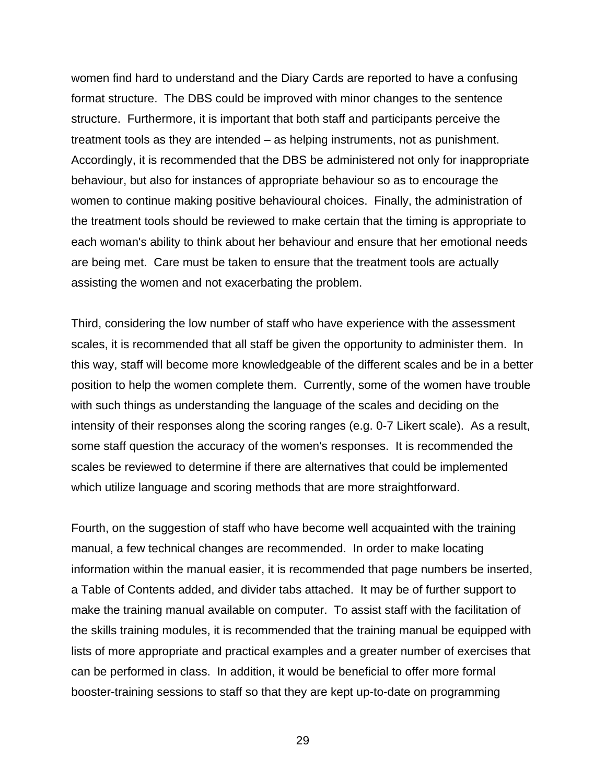women find hard to understand and the Diary Cards are reported to have a confusing format structure. The DBS could be improved with minor changes to the sentence structure. Furthermore, it is important that both staff and participants perceive the treatment tools as they are intended – as helping instruments, not as punishment. Accordingly, it is recommended that the DBS be administered not only for inappropriate behaviour, but also for instances of appropriate behaviour so as to encourage the women to continue making positive behavioural choices. Finally, the administration of the treatment tools should be reviewed to make certain that the timing is appropriate to each woman's ability to think about her behaviour and ensure that her emotional needs are being met. Care must be taken to ensure that the treatment tools are actually assisting the women and not exacerbating the problem.

Third, considering the low number of staff who have experience with the assessment scales, it is recommended that all staff be given the opportunity to administer them. In this way, staff will become more knowledgeable of the different scales and be in a better position to help the women complete them. Currently, some of the women have trouble with such things as understanding the language of the scales and deciding on the intensity of their responses along the scoring ranges (e.g. 0-7 Likert scale). As a result, some staff question the accuracy of the women's responses. It is recommended the scales be reviewed to determine if there are alternatives that could be implemented which utilize language and scoring methods that are more straightforward.

Fourth, on the suggestion of staff who have become well acquainted with the training manual, a few technical changes are recommended. In order to make locating information within the manual easier, it is recommended that page numbers be inserted, a Table of Contents added, and divider tabs attached. It may be of further support to make the training manual available on computer. To assist staff with the facilitation of the skills training modules, it is recommended that the training manual be equipped with lists of more appropriate and practical examples and a greater number of exercises that can be performed in class. In addition, it would be beneficial to offer more formal booster-training sessions to staff so that they are kept up-to-date on programming

<sup>29</sup>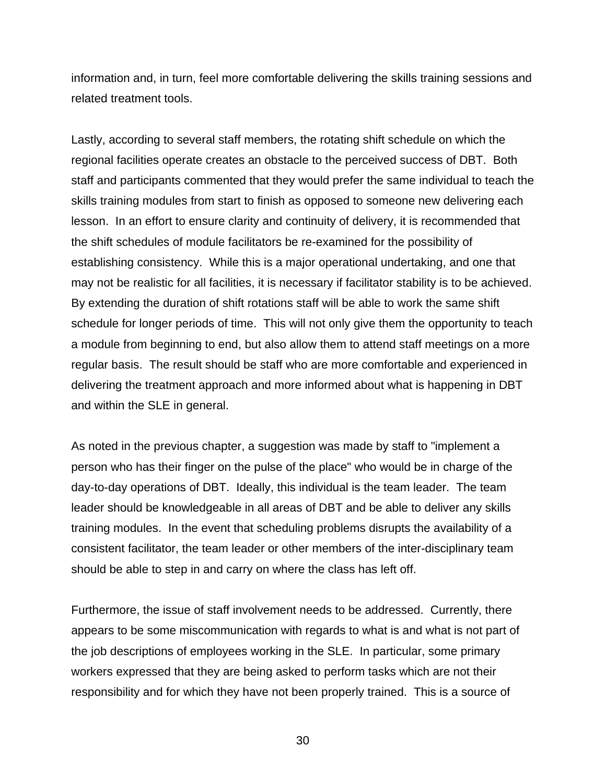information and, in turn, feel more comfortable delivering the skills training sessions and related treatment tools.

Lastly, according to several staff members, the rotating shift schedule on which the regional facilities operate creates an obstacle to the perceived success of DBT. Both staff and participants commented that they would prefer the same individual to teach the skills training modules from start to finish as opposed to someone new delivering each lesson. In an effort to ensure clarity and continuity of delivery, it is recommended that the shift schedules of module facilitators be re-examined for the possibility of establishing consistency. While this is a major operational undertaking, and one that may not be realistic for all facilities, it is necessary if facilitator stability is to be achieved. By extending the duration of shift rotations staff will be able to work the same shift schedule for longer periods of time. This will not only give them the opportunity to teach a module from beginning to end, but also allow them to attend staff meetings on a more regular basis. The result should be staff who are more comfortable and experienced in delivering the treatment approach and more informed about what is happening in DBT and within the SLE in general.

As noted in the previous chapter, a suggestion was made by staff to "implement a person who has their finger on the pulse of the place" who would be in charge of the day-to-day operations of DBT. Ideally, this individual is the team leader. The team leader should be knowledgeable in all areas of DBT and be able to deliver any skills training modules. In the event that scheduling problems disrupts the availability of a consistent facilitator, the team leader or other members of the inter-disciplinary team should be able to step in and carry on where the class has left off.

Furthermore, the issue of staff involvement needs to be addressed. Currently, there appears to be some miscommunication with regards to what is and what is not part of the job descriptions of employees working in the SLE. In particular, some primary workers expressed that they are being asked to perform tasks which are not their responsibility and for which they have not been properly trained. This is a source of

30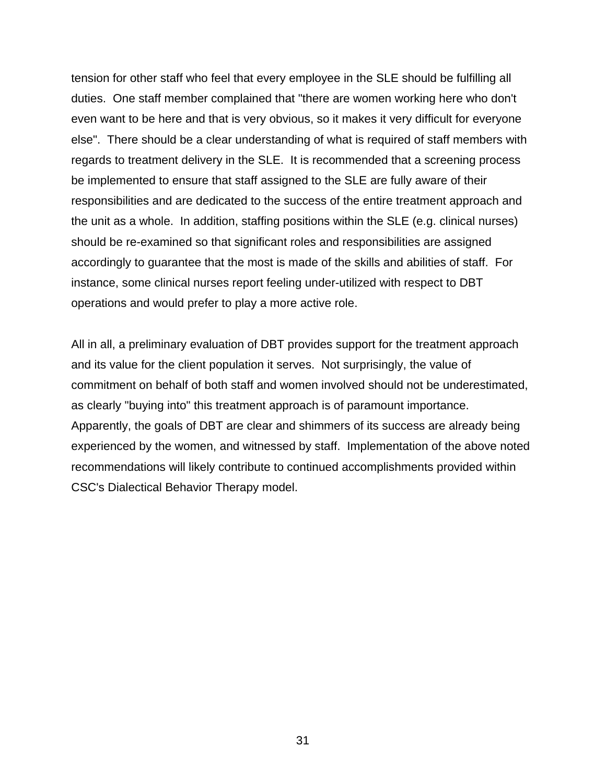tension for other staff who feel that every employee in the SLE should be fulfilling all duties. One staff member complained that "there are women working here who don't even want to be here and that is very obvious, so it makes it very difficult for everyone else". There should be a clear understanding of what is required of staff members with regards to treatment delivery in the SLE. It is recommended that a screening process be implemented to ensure that staff assigned to the SLE are fully aware of their responsibilities and are dedicated to the success of the entire treatment approach and the unit as a whole. In addition, staffing positions within the SLE (e.g. clinical nurses) should be re-examined so that significant roles and responsibilities are assigned accordingly to guarantee that the most is made of the skills and abilities of staff. For instance, some clinical nurses report feeling under-utilized with respect to DBT operations and would prefer to play a more active role.

All in all, a preliminary evaluation of DBT provides support for the treatment approach and its value for the client population it serves. Not surprisingly, the value of commitment on behalf of both staff and women involved should not be underestimated, as clearly "buying into" this treatment approach is of paramount importance. Apparently, the goals of DBT are clear and shimmers of its success are already being experienced by the women, and witnessed by staff. Implementation of the above noted recommendations will likely contribute to continued accomplishments provided within CSC's Dialectical Behavior Therapy model.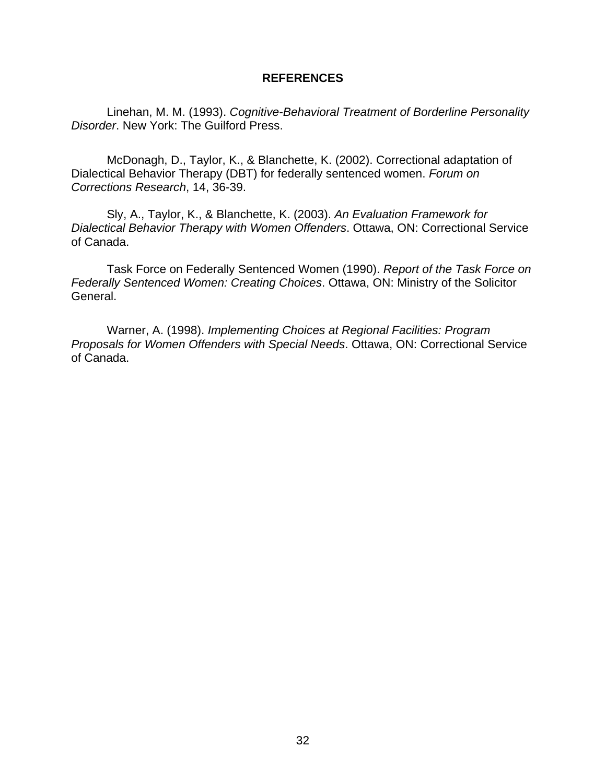#### **REFERENCES**

<span id="page-38-0"></span>Linehan, M. M. (1993). *Cognitive-Behavioral Treatment of Borderline Personality Disorder*. New York: The Guilford Press.

McDonagh, D., Taylor, K., & Blanchette, K. (2002). Correctional adaptation of Dialectical Behavior Therapy (DBT) for federally sentenced women. *Forum on Corrections Research*, 14, 36-39.

Sly, A., Taylor, K., & Blanchette, K. (2003). *An Evaluation Framework for Dialectical Behavior Therapy with Women Offenders*. Ottawa, ON: Correctional Service of Canada.

Task Force on Federally Sentenced Women (1990). *Report of the Task Force on Federally Sentenced Women: Creating Choices*. Ottawa, ON: Ministry of the Solicitor General.

Warner, A. (1998). *Implementing Choices at Regional Facilities: Program Proposals for Women Offenders with Special Needs*. Ottawa, ON: Correctional Service of Canada.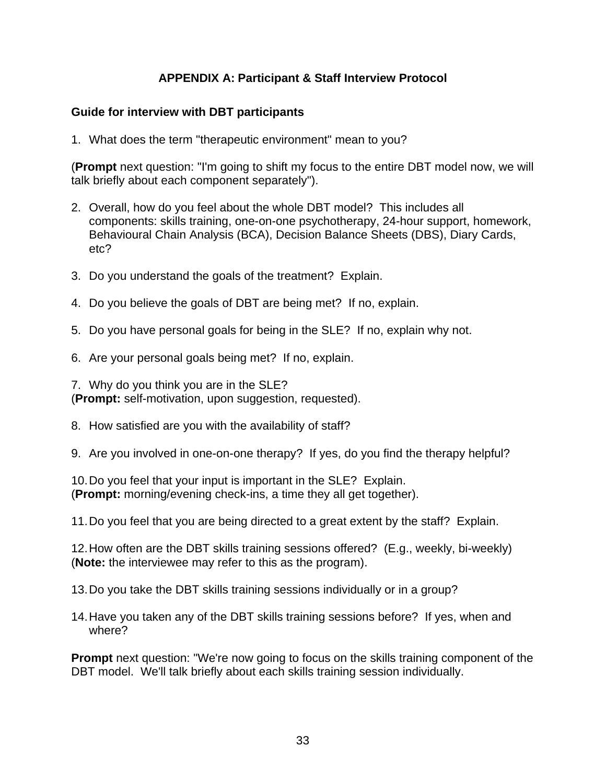## **APPENDIX A: Participant & Staff Interview Protocol**

### <span id="page-39-0"></span>**Guide for interview with DBT participants**

1. What does the term "therapeutic environment" mean to you?

(**Prompt** next question: "I'm going to shift my focus to the entire DBT model now, we will talk briefly about each component separately").

- 2. Overall, how do you feel about the whole DBT model? This includes all components: skills training, one-on-one psychotherapy, 24-hour support, homework, Behavioural Chain Analysis (BCA), Decision Balance Sheets (DBS), Diary Cards, etc?
- 3. Do you understand the goals of the treatment? Explain.
- 4. Do you believe the goals of DBT are being met? If no, explain.
- 5. Do you have personal goals for being in the SLE? If no, explain why not.
- 6. Are your personal goals being met? If no, explain.

7. Why do you think you are in the SLE? (**Prompt:** self-motivation, upon suggestion, requested).

8. How satisfied are you with the availability of staff?

9. Are you involved in one-on-one therapy? If yes, do you find the therapy helpful?

10. Do you feel that your input is important in the SLE? Explain. (**Prompt:** morning/evening check-ins, a time they all get together).

11. Do you feel that you are being directed to a great extent by the staff? Explain.

12. How often are the DBT skills training sessions offered? (E.g., weekly, bi-weekly) (**Note:** the interviewee may refer to this as the program).

13. Do you take the DBT skills training sessions individually or in a group?

14. Have you taken any of the DBT skills training sessions before? If yes, when and where?

**Prompt** next question: "We're now going to focus on the skills training component of the DBT model. We'll talk briefly about each skills training session individually.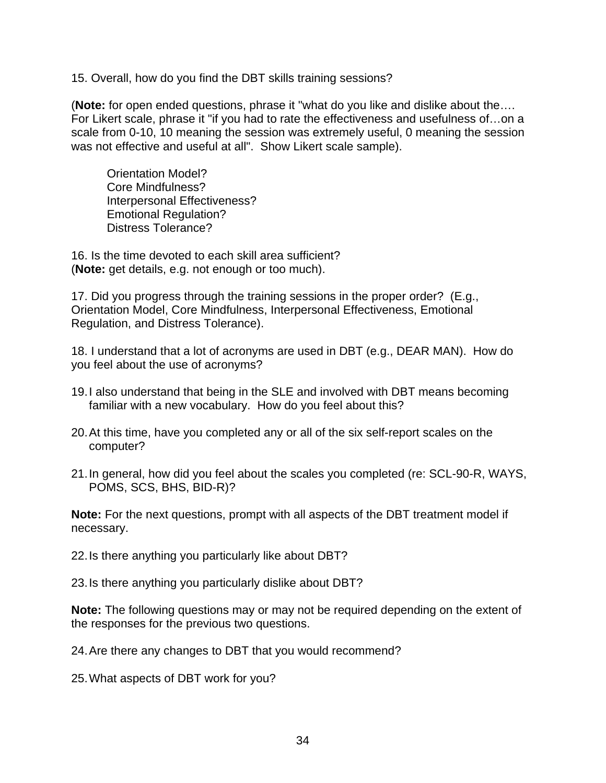15. Overall, how do you find the DBT skills training sessions?

(**Note:** for open ended questions, phrase it "what do you like and dislike about the…. For Likert scale, phrase it "if you had to rate the effectiveness and usefulness of…on a scale from 0-10, 10 meaning the session was extremely useful, 0 meaning the session was not effective and useful at all". Show Likert scale sample).

Orientation Model? Core Mindfulness? Interpersonal Effectiveness? Emotional Regulation? Distress Tolerance?

16. Is the time devoted to each skill area sufficient? (**Note:** get details, e.g. not enough or too much).

17. Did you progress through the training sessions in the proper order? (E.g., Orientation Model, Core Mindfulness, Interpersonal Effectiveness, Emotional Regulation, and Distress Tolerance).

18. I understand that a lot of acronyms are used in DBT (e.g., DEAR MAN). How do you feel about the use of acronyms?

- 19. I also understand that being in the SLE and involved with DBT means becoming familiar with a new vocabulary. How do you feel about this?
- 20. At this time, have you completed any or all of the six self-report scales on the computer?
- 21. In general, how did you feel about the scales you completed (re: SCL-90-R, WAYS, POMS, SCS, BHS, BID-R)?

**Note:** For the next questions, prompt with all aspects of the DBT treatment model if necessary.

22. Is there anything you particularly like about DBT?

23. Is there anything you particularly dislike about DBT?

**Note:** The following questions may or may not be required depending on the extent of the responses for the previous two questions.

24. Are there any changes to DBT that you would recommend?

25. What aspects of DBT work for you?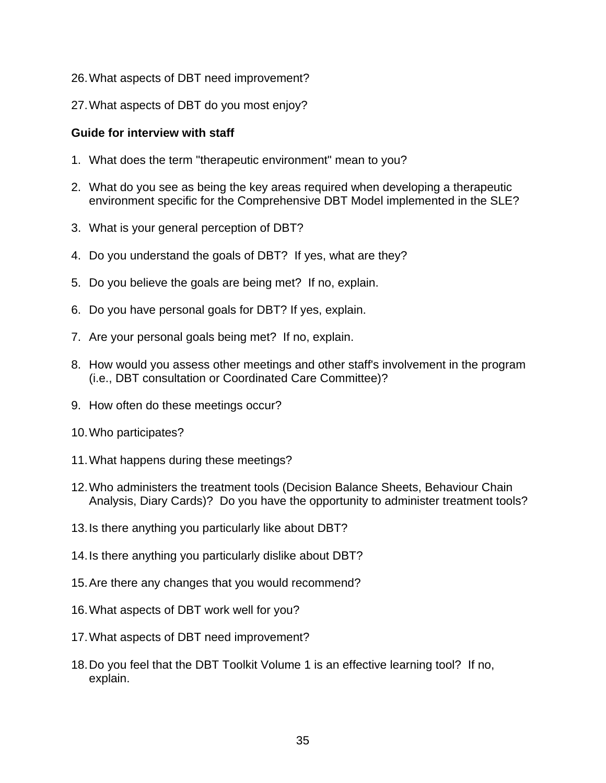- 26. What aspects of DBT need improvement?
- 27. What aspects of DBT do you most enjoy?

### **Guide for interview with staff**

- 1. What does the term "therapeutic environment" mean to you?
- 2. What do you see as being the key areas required when developing a therapeutic environment specific for the Comprehensive DBT Model implemented in the SLE?
- 3. What is your general perception of DBT?
- 4. Do you understand the goals of DBT? If yes, what are they?
- 5. Do you believe the goals are being met? If no, explain.
- 6. Do you have personal goals for DBT? If yes, explain.
- 7. Are your personal goals being met? If no, explain.
- 8. How would you assess other meetings and other staff's involvement in the program (i.e., DBT consultation or Coordinated Care Committee)?
- 9. How often do these meetings occur?
- 10. Who participates?
- 11. What happens during these meetings?
- 12. Who administers the treatment tools (Decision Balance Sheets, Behaviour Chain Analysis, Diary Cards)? Do you have the opportunity to administer treatment tools?
- 13. Is there anything you particularly like about DBT?
- 14. Is there anything you particularly dislike about DBT?
- 15. Are there any changes that you would recommend?
- 16. What aspects of DBT work well for you?
- 17. What aspects of DBT need improvement?
- 18. Do you feel that the DBT Toolkit Volume 1 is an effective learning tool? If no, explain.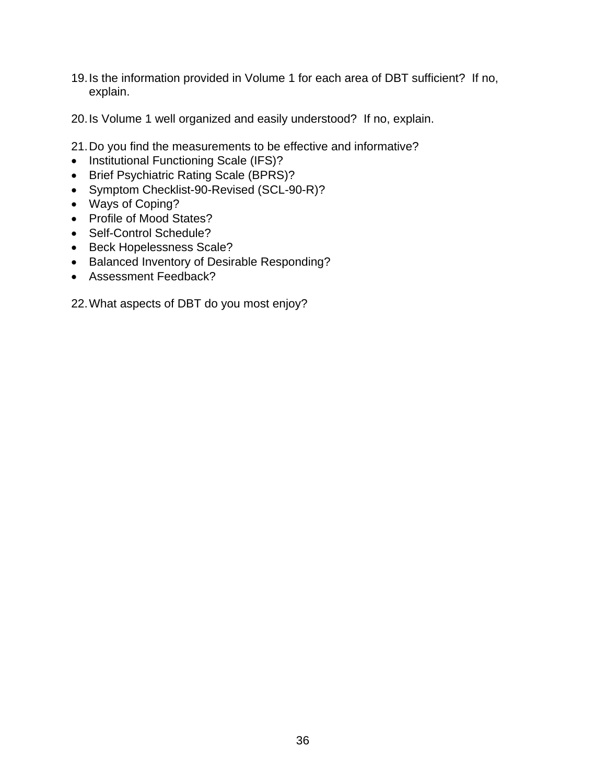- 19. Is the information provided in Volume 1 for each area of DBT sufficient? If no, explain.
- 20. Is Volume 1 well organized and easily understood? If no, explain.
- 21. Do you find the measurements to be effective and informative?
- Institutional Functioning Scale (IFS)?
- Brief Psychiatric Rating Scale (BPRS)?
- Symptom Checklist-90-Revised (SCL-90-R)?
- Ways of Coping?
- Profile of Mood States?
- Self-Control Schedule?
- Beck Hopelessness Scale?
- Balanced Inventory of Desirable Responding?
- Assessment Feedback?

22. What aspects of DBT do you most enjoy?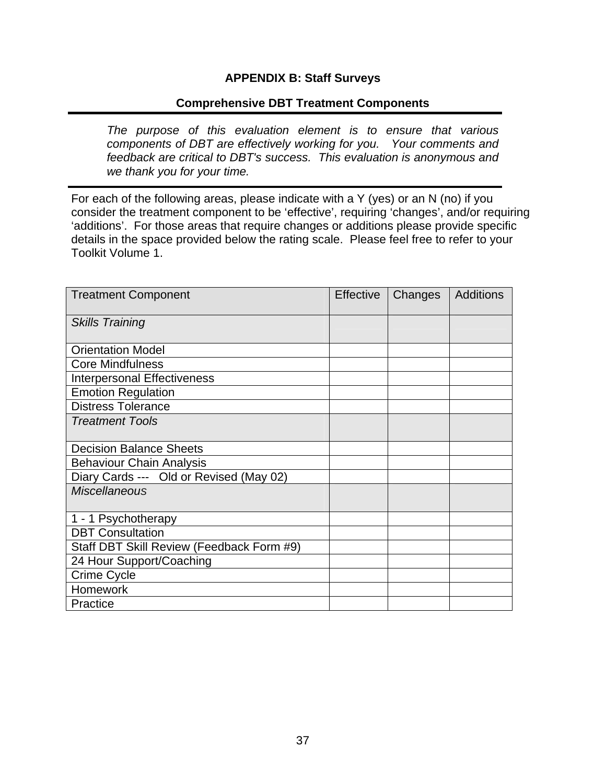### **APPENDIX B: Staff Surveys**

### **Comprehensive DBT Treatment Components**

<span id="page-43-0"></span>I

*The purpose of this evaluation element is to ensure that various components of DBT are effectively working for you. Your comments and feedback are critical to DBT's success. This evaluation is anonymous and we thank you for your time.* 

For each of the following areas, please indicate with a Y (yes) or an N (no) if you consider the treatment component to be 'effective', requiring 'changes', and/or requiring 'additions'. For those areas that require changes or additions please provide specific details in the space provided below the rating scale. Please feel free to refer to your Toolkit Volume 1.

| <b>Treatment Component</b>                | <b>Effective</b> | Changes | <b>Additions</b> |
|-------------------------------------------|------------------|---------|------------------|
| <b>Skills Training</b>                    |                  |         |                  |
|                                           |                  |         |                  |
| <b>Orientation Model</b>                  |                  |         |                  |
| <b>Core Mindfulness</b>                   |                  |         |                  |
| <b>Interpersonal Effectiveness</b>        |                  |         |                  |
| <b>Emotion Regulation</b>                 |                  |         |                  |
| <b>Distress Tolerance</b>                 |                  |         |                  |
| <b>Treatment Tools</b>                    |                  |         |                  |
|                                           |                  |         |                  |
| <b>Decision Balance Sheets</b>            |                  |         |                  |
| <b>Behaviour Chain Analysis</b>           |                  |         |                  |
| Diary Cards --- Old or Revised (May 02)   |                  |         |                  |
| <b>Miscellaneous</b>                      |                  |         |                  |
|                                           |                  |         |                  |
| 1 - 1 Psychotherapy                       |                  |         |                  |
| <b>DBT</b> Consultation                   |                  |         |                  |
| Staff DBT Skill Review (Feedback Form #9) |                  |         |                  |
| 24 Hour Support/Coaching                  |                  |         |                  |
| Crime Cycle                               |                  |         |                  |
| <b>Homework</b>                           |                  |         |                  |
| Practice                                  |                  |         |                  |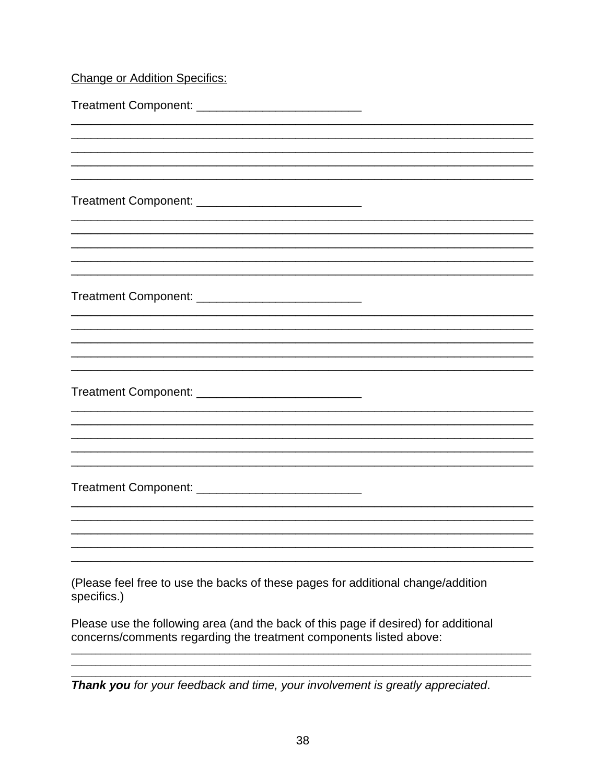# **Change or Addition Specifics:**

| Treatment Component: _________________________________                                          |
|-------------------------------------------------------------------------------------------------|
|                                                                                                 |
|                                                                                                 |
|                                                                                                 |
|                                                                                                 |
|                                                                                                 |
|                                                                                                 |
|                                                                                                 |
|                                                                                                 |
|                                                                                                 |
|                                                                                                 |
|                                                                                                 |
| Treatment Component: _____________________________                                              |
|                                                                                                 |
|                                                                                                 |
|                                                                                                 |
|                                                                                                 |
|                                                                                                 |
| (Please feel free to use the backs of these pages for additional change/addition<br>specifics.) |
| Places use the following area (and the back of this page if desired) for additional             |

Please use the following area (and the back of this page if desired) for additional concerns/comments regarding the treatment components listed above:

Thank you for your feedback and time, your involvement is greatly appreciated.